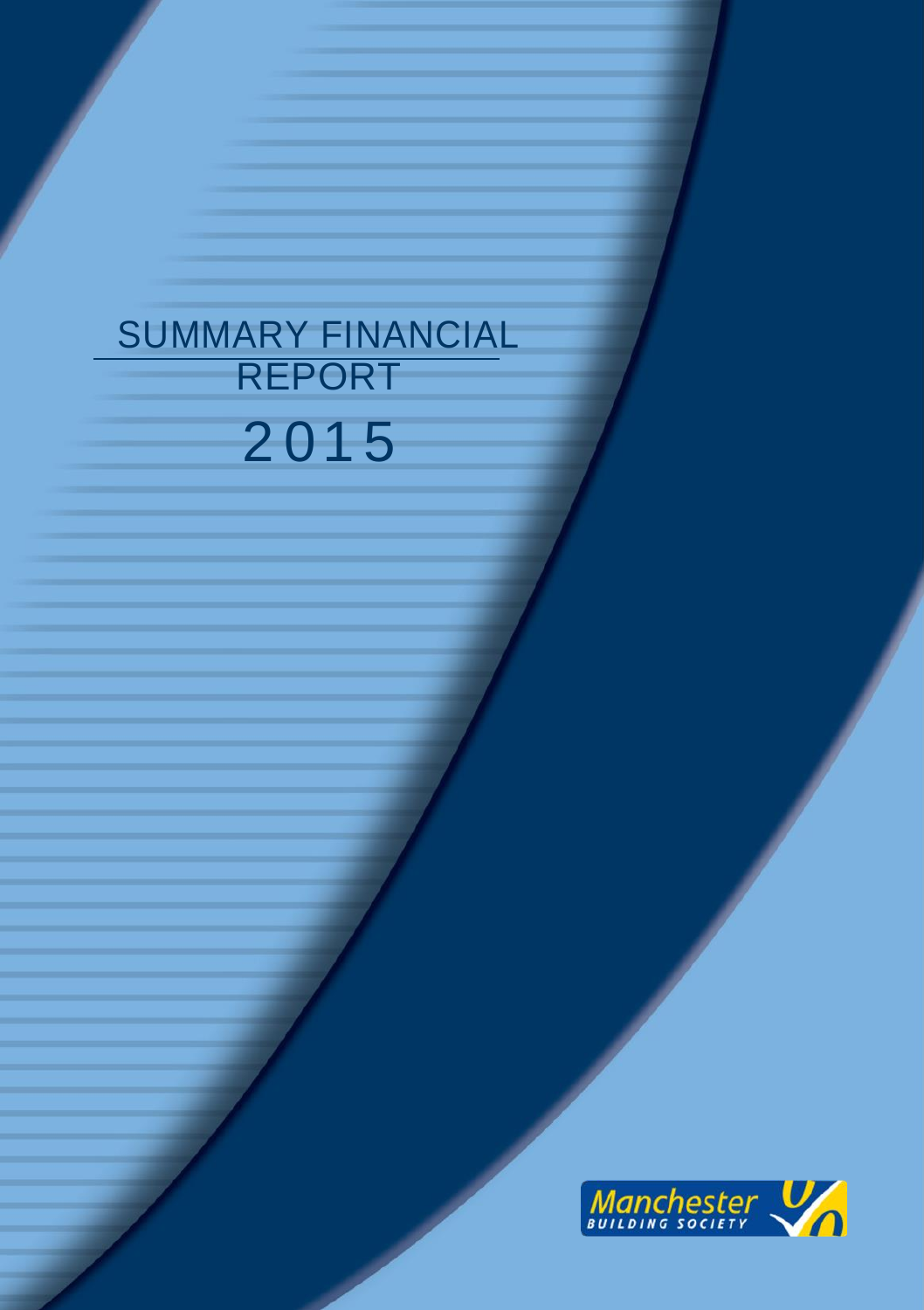# SUMMARY FINANCIAL REPORT 2 01 5

CONTENTS

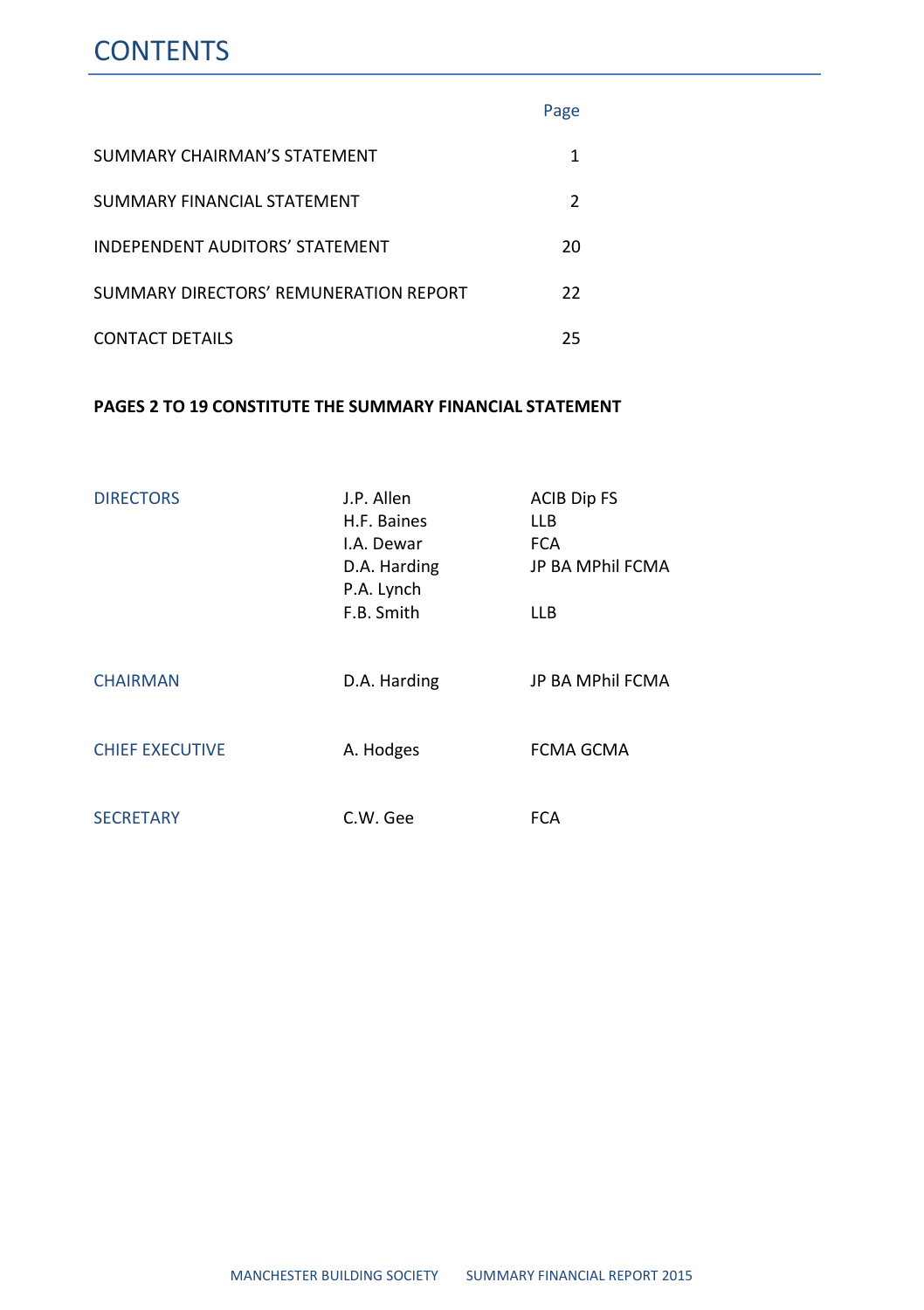### **CONTENTS**

|                                        | Page          |
|----------------------------------------|---------------|
| SUMMARY CHAIRMAN'S STATEMENT           |               |
| SUMMARY FINANCIAL STATEMENT            | $\mathcal{P}$ |
| <b>INDEPENDENT AUDITORS' STATEMENT</b> | 20            |
| SUMMARY DIRECTORS' REMUNERATION REPORT | 22            |
| <b>CONTACT DETAILS</b>                 | 25            |

#### **PAGES 2 TO 19 CONSTITUTE THE SUMMARY FINANCIAL STATEMENT**

| <b>DIRECTORS</b>       | J.P. Allen<br>H.F. Baines<br>I.A. Dewar<br>D.A. Harding<br>P.A. Lynch<br>F.B. Smith | <b>ACIB Dip FS</b><br>LLB<br><b>FCA</b><br><b>JP BA MPhil FCMA</b><br><b>LLB</b> |
|------------------------|-------------------------------------------------------------------------------------|----------------------------------------------------------------------------------|
| <b>CHAIRMAN</b>        | D.A. Harding                                                                        | <b>JP BA MPhil FCMA</b>                                                          |
| <b>CHIEF EXECUTIVE</b> | A. Hodges                                                                           | <b>FCMA GCMA</b>                                                                 |
| <b>SECRETARY</b>       | C.W. Gee                                                                            | <b>FCA</b>                                                                       |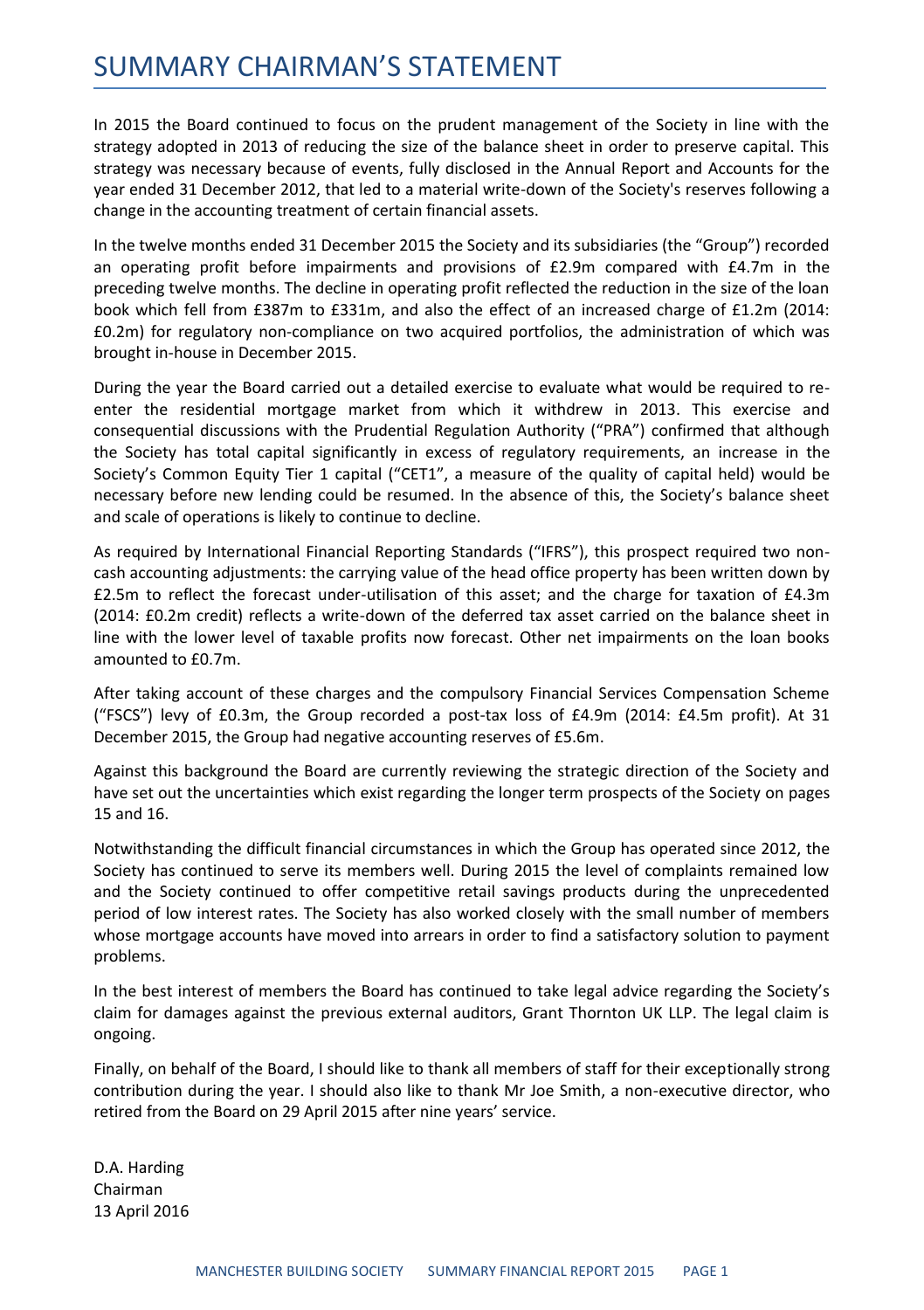### SUMMARY CHAIRMAN'S STATEMENT

In 2015 the Board continued to focus on the prudent management of the Society in line with the strategy adopted in 2013 of reducing the size of the balance sheet in order to preserve capital. This strategy was necessary because of events, fully disclosed in the Annual Report and Accounts for the year ended 31 December 2012, that led to a material write-down of the Society's reserves following a change in the accounting treatment of certain financial assets.

In the twelve months ended 31 December 2015 the Society and its subsidiaries (the "Group") recorded an operating profit before impairments and provisions of £2.9m compared with £4.7m in the preceding twelve months. The decline in operating profit reflected the reduction in the size of the loan book which fell from £387m to £331m, and also the effect of an increased charge of £1.2m (2014: £0.2m) for regulatory non-compliance on two acquired portfolios, the administration of which was brought in-house in December 2015.

During the year the Board carried out a detailed exercise to evaluate what would be required to reenter the residential mortgage market from which it withdrew in 2013. This exercise and consequential discussions with the Prudential Regulation Authority ("PRA") confirmed that although the Society has total capital significantly in excess of regulatory requirements, an increase in the Society's Common Equity Tier 1 capital ("CET1", a measure of the quality of capital held) would be necessary before new lending could be resumed. In the absence of this, the Society's balance sheet and scale of operations is likely to continue to decline.

As required by International Financial Reporting Standards ("IFRS"), this prospect required two noncash accounting adjustments: the carrying value of the head office property has been written down by £2.5m to reflect the forecast under-utilisation of this asset; and the charge for taxation of £4.3m (2014: £0.2m credit) reflects a write-down of the deferred tax asset carried on the balance sheet in line with the lower level of taxable profits now forecast. Other net impairments on the loan books amounted to £0.7m.

After taking account of these charges and the compulsory Financial Services Compensation Scheme ("FSCS") levy of £0.3m, the Group recorded a post-tax loss of £4.9m (2014: £4.5m profit). At 31 December 2015, the Group had negative accounting reserves of £5.6m.

Against this background the Board are currently reviewing the strategic direction of the Society and have set out the uncertainties which exist regarding the longer term prospects of the Society on pages 15 and 16.

Notwithstanding the difficult financial circumstances in which the Group has operated since 2012, the Society has continued to serve its members well. During 2015 the level of complaints remained low and the Society continued to offer competitive retail savings products during the unprecedented period of low interest rates. The Society has also worked closely with the small number of members whose mortgage accounts have moved into arrears in order to find a satisfactory solution to payment problems.

In the best interest of members the Board has continued to take legal advice regarding the Society's claim for damages against the previous external auditors, Grant Thornton UK LLP. The legal claim is ongoing.

Finally, on behalf of the Board, I should like to thank all members of staff for their exceptionally strong contribution during the year. I should also like to thank Mr Joe Smith, a non-executive director, who retired from the Board on 29 April 2015 after nine years' service.

D.A. Harding Chairman 13 April 2016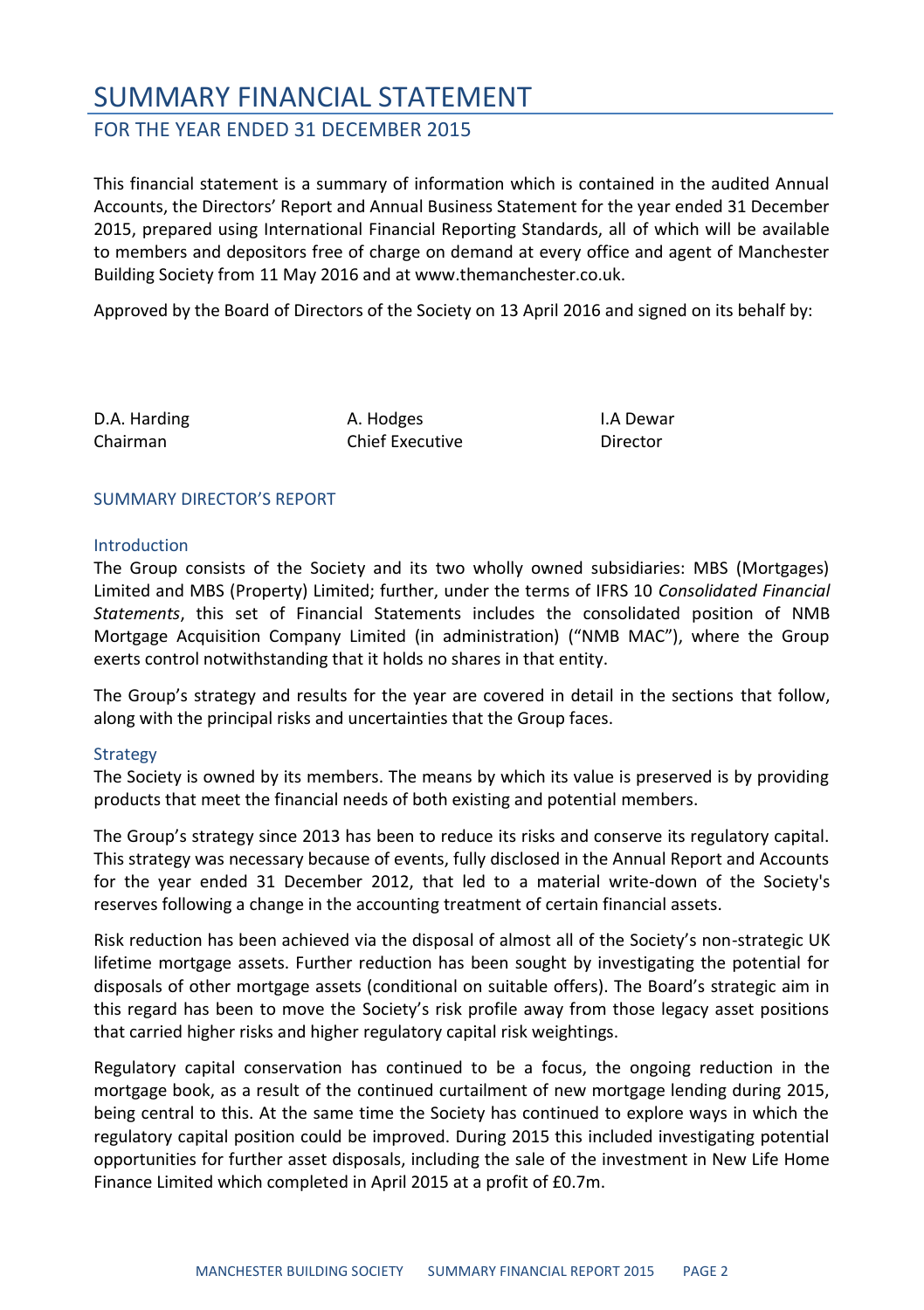#### FOR THE YEAR ENDED 31 DECEMBER 2015

This financial statement is a summary of information which is contained in the audited Annual Accounts, the Directors' Report and Annual Business Statement for the year ended 31 December 2015, prepared using International Financial Reporting Standards, all of which will be available to members and depositors free of charge on demand at every office and agent of Manchester Building Society from 11 May 2016 and at www.themanchester.co.uk.

Approved by the Board of Directors of the Society on 13 April 2016 and signed on its behalf by:

| D.A. Harding |  |
|--------------|--|
| Chairman     |  |

A. Hodges Chief Executive I.A Dewar Director

#### SUMMARY DIRECTOR'S REPORT

#### Introduction

The Group consists of the Society and its two wholly owned subsidiaries: MBS (Mortgages) Limited and MBS (Property) Limited; further, under the terms of IFRS 10 *Consolidated Financial Statements*, this set of Financial Statements includes the consolidated position of NMB Mortgage Acquisition Company Limited (in administration) ("NMB MAC"), where the Group exerts control notwithstanding that it holds no shares in that entity.

The Group's strategy and results for the year are covered in detail in the sections that follow, along with the principal risks and uncertainties that the Group faces.

#### **Strategy**

The Society is owned by its members. The means by which its value is preserved is by providing products that meet the financial needs of both existing and potential members.

The Group's strategy since 2013 has been to reduce its risks and conserve its regulatory capital. This strategy was necessary because of events, fully disclosed in the Annual Report and Accounts for the year ended 31 December 2012, that led to a material write-down of the Society's reserves following a change in the accounting treatment of certain financial assets.

Risk reduction has been achieved via the disposal of almost all of the Society's non-strategic UK lifetime mortgage assets. Further reduction has been sought by investigating the potential for disposals of other mortgage assets (conditional on suitable offers). The Board's strategic aim in this regard has been to move the Society's risk profile away from those legacy asset positions that carried higher risks and higher regulatory capital risk weightings.

Regulatory capital conservation has continued to be a focus, the ongoing reduction in the mortgage book, as a result of the continued curtailment of new mortgage lending during 2015, being central to this. At the same time the Society has continued to explore ways in which the regulatory capital position could be improved. During 2015 this included investigating potential opportunities for further asset disposals, including the sale of the investment in New Life Home Finance Limited which completed in April 2015 at a profit of £0.7m.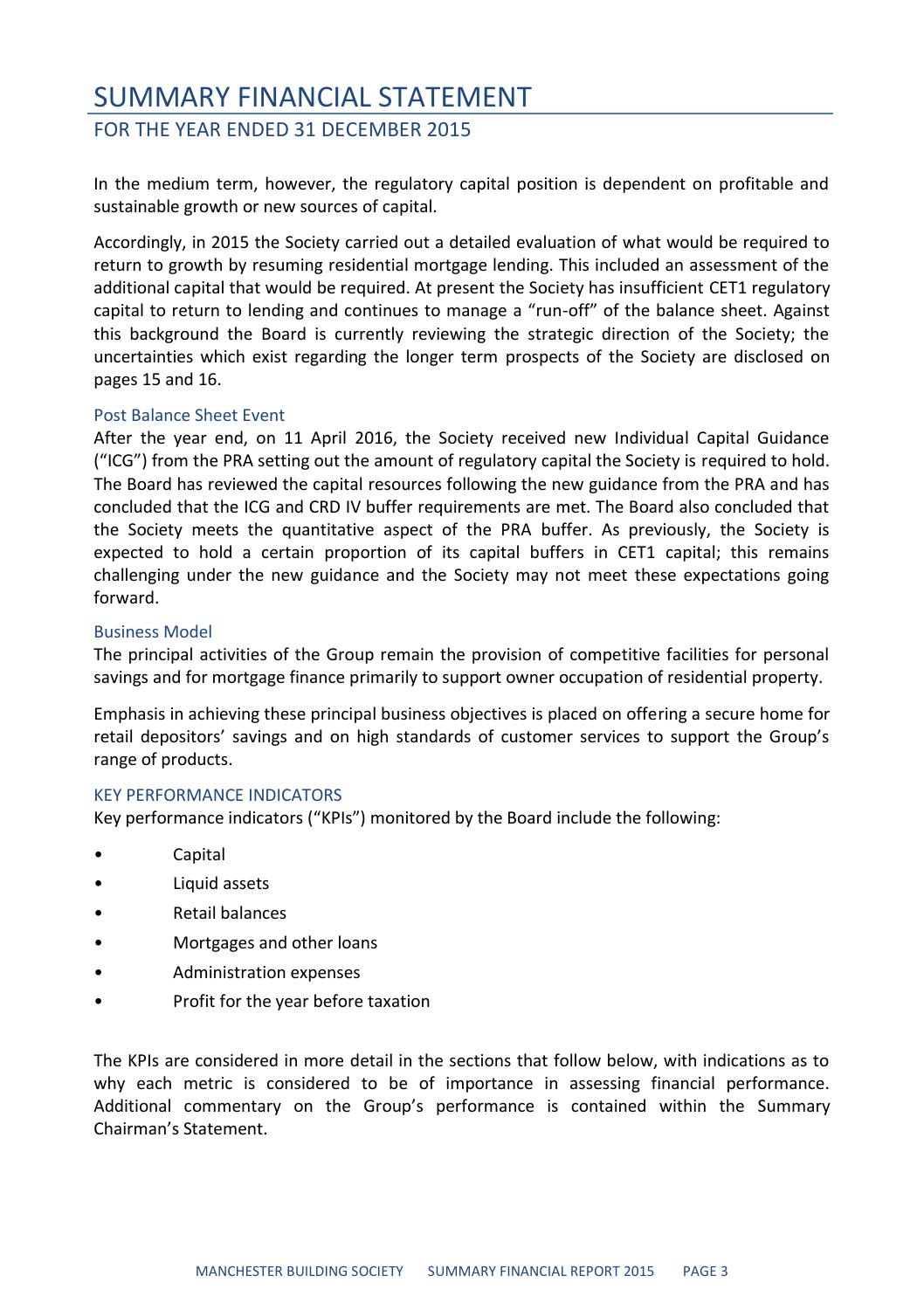### SUMMARY FINANCIAL STATEMENT FOR THE YEAR ENDED 31 DECEMBER 2015

In the medium term, however, the regulatory capital position is dependent on profitable and sustainable growth or new sources of capital.

Accordingly, in 2015 the Society carried out a detailed evaluation of what would be required to return to growth by resuming residential mortgage lending. This included an assessment of the additional capital that would be required. At present the Society has insufficient CET1 regulatory capital to return to lending and continues to manage a "run-off" of the balance sheet. Against this background the Board is currently reviewing the strategic direction of the Society; the uncertainties which exist regarding the longer term prospects of the Society are disclosed on pages 15 and 16.

#### Post Balance Sheet Event

After the year end, on 11 April 2016, the Society received new Individual Capital Guidance ("ICG") from the PRA setting out the amount of regulatory capital the Society is required to hold. The Board has reviewed the capital resources following the new guidance from the PRA and has concluded that the ICG and CRD IV buffer requirements are met. The Board also concluded that the Society meets the quantitative aspect of the PRA buffer. As previously, the Society is expected to hold a certain proportion of its capital buffers in CET1 capital; this remains challenging under the new guidance and the Society may not meet these expectations going forward.

#### Business Model

The principal activities of the Group remain the provision of competitive facilities for personal savings and for mortgage finance primarily to support owner occupation of residential property.

Emphasis in achieving these principal business objectives is placed on offering a secure home for retail depositors' savings and on high standards of customer services to support the Group's range of products.

#### KEY PERFORMANCE INDICATORS

Key performance indicators ("KPIs") monitored by the Board include the following:

- Capital
- Liquid assets
- Retail balances
- Mortgages and other loans
- Administration expenses
- Profit for the year before taxation

The KPIs are considered in more detail in the sections that follow below, with indications as to why each metric is considered to be of importance in assessing financial performance. Additional commentary on the Group's performance is contained within the Summary Chairman's Statement.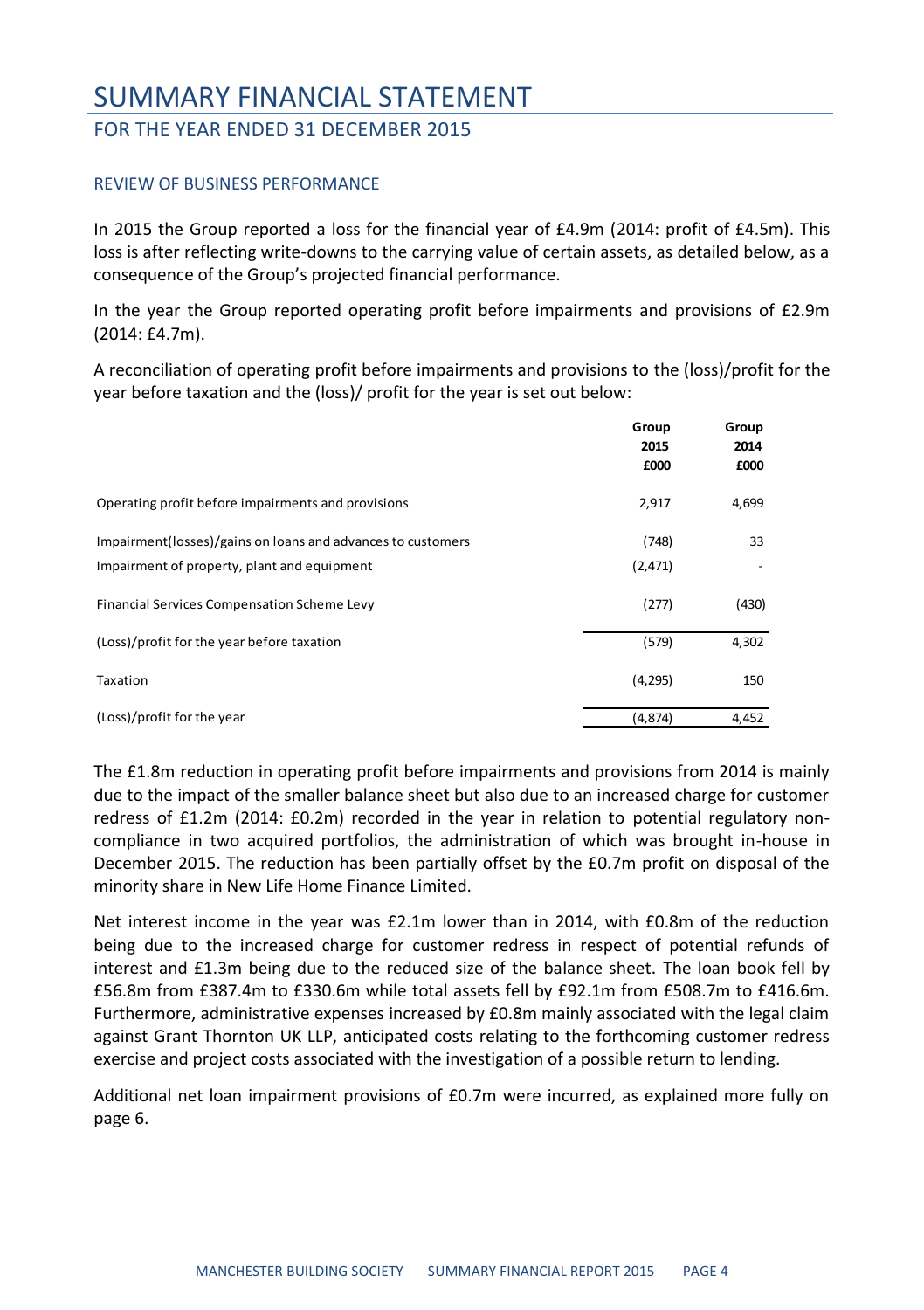#### FOR THE YEAR ENDED 31 DECEMBER 2015

#### REVIEW OF BUSINESS PERFORMANCE

In 2015 the Group reported a loss for the financial year of £4.9m (2014: profit of £4.5m). This loss is after reflecting write-downs to the carrying value of certain assets, as detailed below, as a consequence of the Group's projected financial performance.

In the year the Group reported operating profit before impairments and provisions of £2.9m (2014: £4.7m).

A reconciliation of operating profit before impairments and provisions to the (loss)/profit for the year before taxation and the (loss)/ profit for the year is set out below:

|                                                                                                            | Group<br>2015<br>£000 | Group<br>2014<br>£000 |
|------------------------------------------------------------------------------------------------------------|-----------------------|-----------------------|
| Operating profit before impairments and provisions                                                         | 2,917                 | 4,699                 |
| Impairment(losses)/gains on loans and advances to customers<br>Impairment of property, plant and equipment | (748)<br>(2, 471)     | 33                    |
|                                                                                                            |                       |                       |
| Financial Services Compensation Scheme Levy                                                                | (277)                 | (430)                 |
| (Loss)/profit for the year before taxation                                                                 | (579)                 | 4,302                 |
| Taxation                                                                                                   | (4, 295)              | 150                   |
| (Loss)/profit for the year                                                                                 | (4,874)               | 4,452                 |

The £1.8m reduction in operating profit before impairments and provisions from 2014 is mainly due to the impact of the smaller balance sheet but also due to an increased charge for customer redress of £1.2m (2014: £0.2m) recorded in the year in relation to potential regulatory noncompliance in two acquired portfolios, the administration of which was brought in-house in December 2015. The reduction has been partially offset by the £0.7m profit on disposal of the minority share in New Life Home Finance Limited.

Net interest income in the year was £2.1m lower than in 2014, with £0.8m of the reduction being due to the increased charge for customer redress in respect of potential refunds of interest and £1.3m being due to the reduced size of the balance sheet. The loan book fell by £56.8m from £387.4m to £330.6m while total assets fell by £92.1m from £508.7m to £416.6m. Furthermore, administrative expenses increased by £0.8m mainly associated with the legal claim against Grant Thornton UK LLP, anticipated costs relating to the forthcoming customer redress exercise and project costs associated with the investigation of a possible return to lending.

Additional net loan impairment provisions of £0.7m were incurred, as explained more fully on page 6.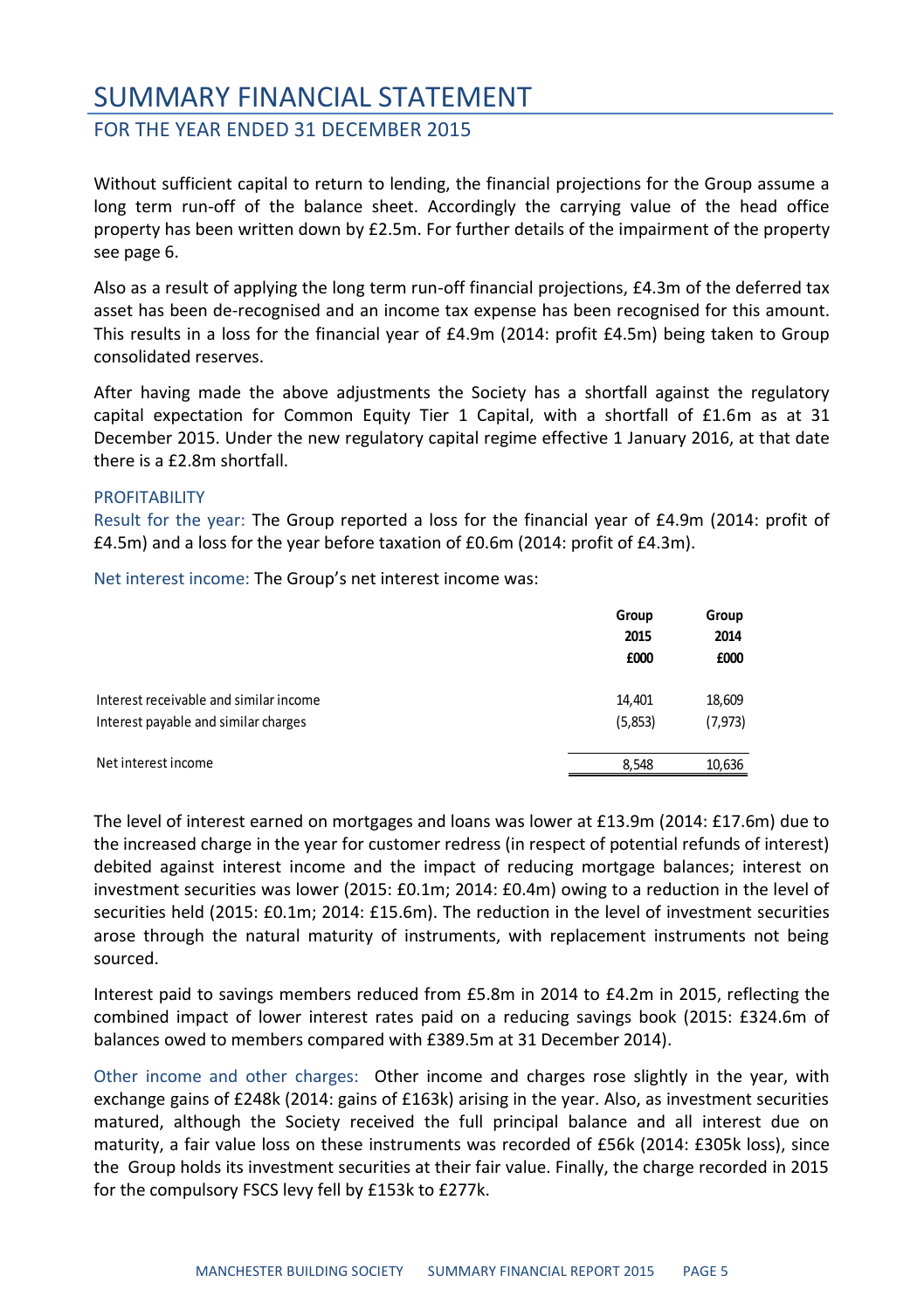#### FOR THE YEAR ENDED 31 DECEMBER 2015

Without sufficient capital to return to lending, the financial projections for the Group assume a long term run-off of the balance sheet. Accordingly the carrying value of the head office property has been written down by £2.5m. For further details of the impairment of the property see page 6.

Also as a result of applying the long term run-off financial projections, £4.3m of the deferred tax asset has been de-recognised and an income tax expense has been recognised for this amount. This results in a loss for the financial year of £4.9m (2014: profit £4.5m) being taken to Group consolidated reserves.

After having made the above adjustments the Society has a shortfall against the regulatory capital expectation for Common Equity Tier 1 Capital, with a shortfall of £1.6m as at 31 December 2015. Under the new regulatory capital regime effective 1 January 2016, at that date there is a £2.8m shortfall.

#### PROFITABILITY

Result for the year: The Group reported a loss for the financial year of £4.9m (2014: profit of £4.5m) and a loss for the year before taxation of £0.6m (2014: profit of £4.3m).

Net interest income: The Group's net interest income was:

|                                        | Group<br>2015<br>£000 | Group<br>2014<br>£000 |
|----------------------------------------|-----------------------|-----------------------|
| Interest receivable and similar income | 14.401                | 18,609                |
| Interest payable and similar charges   | (5,853)               | (7, 973)              |
| Net interest income                    | 8.548                 | 10,636                |

The level of interest earned on mortgages and loans was lower at £13.9m (2014: £17.6m) due to the increased charge in the year for customer redress (in respect of potential refunds of interest) debited against interest income and the impact of reducing mortgage balances; interest on investment securities was lower (2015: £0.1m; 2014: £0.4m) owing to a reduction in the level of securities held (2015: £0.1m; 2014: £15.6m). The reduction in the level of investment securities arose through the natural maturity of instruments, with replacement instruments not being sourced.

Interest paid to savings members reduced from £5.8m in 2014 to £4.2m in 2015, reflecting the combined impact of lower interest rates paid on a reducing savings book (2015: £324.6m of balances owed to members compared with £389.5m at 31 December 2014).

Other income and other charges: Other income and charges rose slightly in the year, with exchange gains of £248k (2014: gains of £163k) arising in the year. Also, as investment securities matured, although the Society received the full principal balance and all interest due on maturity, a fair value loss on these instruments was recorded of £56k (2014: £305k loss), since the Group holds its investment securities at their fair value. Finally, the charge recorded in 2015 for the compulsory FSCS levy fell by £153k to £277k.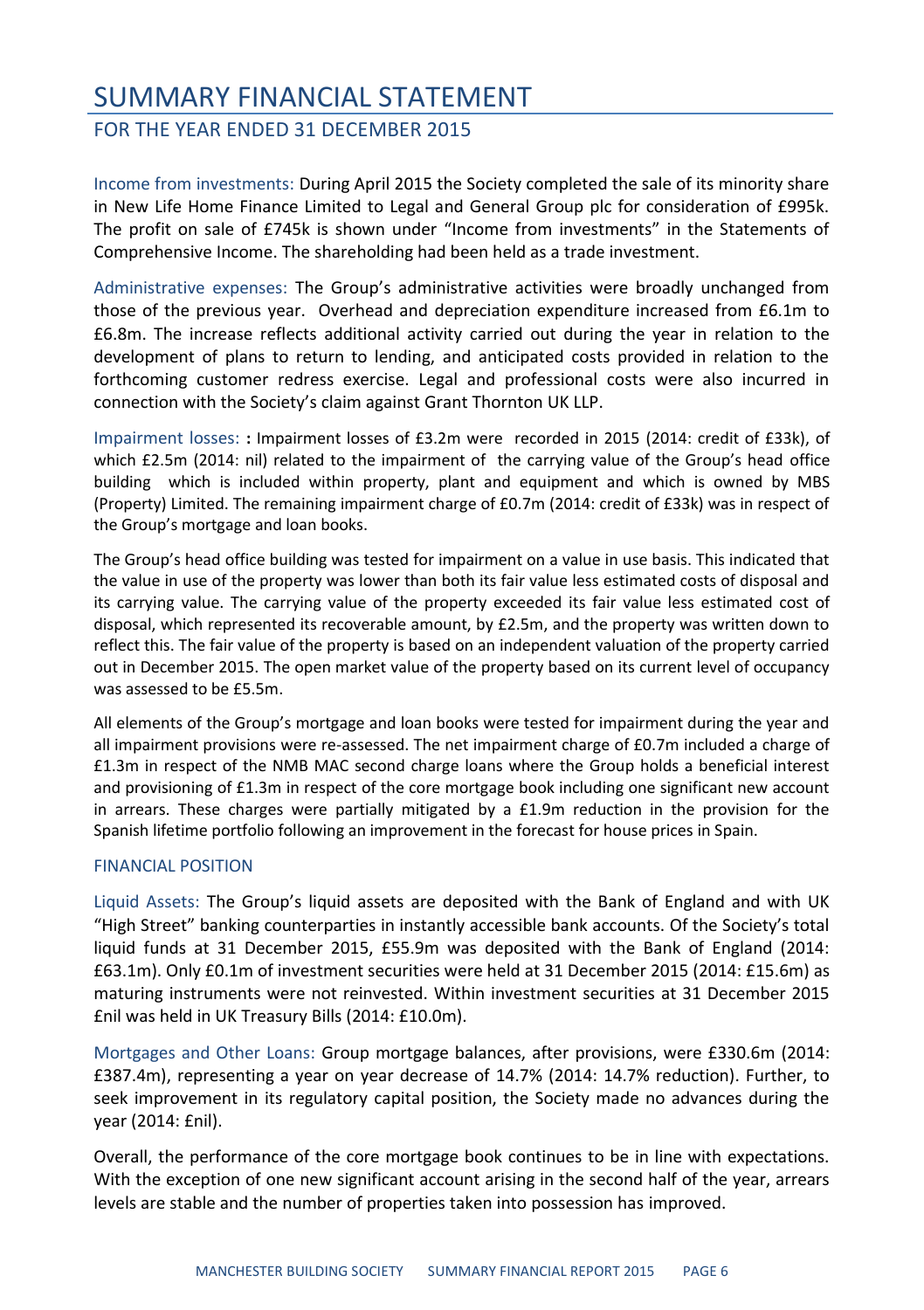#### FOR THE YEAR ENDED 31 DECEMBER 2015

Income from investments: During April 2015 the Society completed the sale of its minority share in New Life Home Finance Limited to Legal and General Group plc for consideration of £995k. The profit on sale of £745k is shown under "Income from investments" in the Statements of Comprehensive Income. The shareholding had been held as a trade investment.

Administrative expenses: The Group's administrative activities were broadly unchanged from those of the previous year. Overhead and depreciation expenditure increased from £6.1m to £6.8m. The increase reflects additional activity carried out during the year in relation to the development of plans to return to lending, and anticipated costs provided in relation to the forthcoming customer redress exercise. Legal and professional costs were also incurred in connection with the Society's claim against Grant Thornton UK LLP.

Impairment losses: **:** Impairment losses of £3.2m were recorded in 2015 (2014: credit of £33k), of which £2.5m (2014: nil) related to the impairment of the carrying value of the Group's head office building which is included within property, plant and equipment and which is owned by MBS (Property) Limited. The remaining impairment charge of £0.7m (2014: credit of £33k) was in respect of the Group's mortgage and loan books.

The Group's head office building was tested for impairment on a value in use basis. This indicated that the value in use of the property was lower than both its fair value less estimated costs of disposal and its carrying value. The carrying value of the property exceeded its fair value less estimated cost of disposal, which represented its recoverable amount, by £2.5m, and the property was written down to reflect this. The fair value of the property is based on an independent valuation of the property carried out in December 2015. The open market value of the property based on its current level of occupancy was assessed to be £5.5m.

All elements of the Group's mortgage and loan books were tested for impairment during the year and all impairment provisions were re-assessed. The net impairment charge of £0.7m included a charge of £1.3m in respect of the NMB MAC second charge loans where the Group holds a beneficial interest and provisioning of £1.3m in respect of the core mortgage book including one significant new account in arrears. These charges were partially mitigated by a £1.9m reduction in the provision for the Spanish lifetime portfolio following an improvement in the forecast for house prices in Spain.

#### FINANCIAL POSITION

Liquid Assets: The Group's liquid assets are deposited with the Bank of England and with UK "High Street" banking counterparties in instantly accessible bank accounts. Of the Society's total liquid funds at 31 December 2015, £55.9m was deposited with the Bank of England (2014: £63.1m). Only £0.1m of investment securities were held at 31 December 2015 (2014: £15.6m) as maturing instruments were not reinvested. Within investment securities at 31 December 2015 £nil was held in UK Treasury Bills (2014: £10.0m).

Mortgages and Other Loans: Group mortgage balances, after provisions, were £330.6m (2014: £387.4m), representing a year on year decrease of 14.7% (2014: 14.7% reduction). Further, to seek improvement in its regulatory capital position, the Society made no advances during the year (2014: £nil).

Overall, the performance of the core mortgage book continues to be in line with expectations. With the exception of one new significant account arising in the second half of the year, arrears levels are stable and the number of properties taken into possession has improved.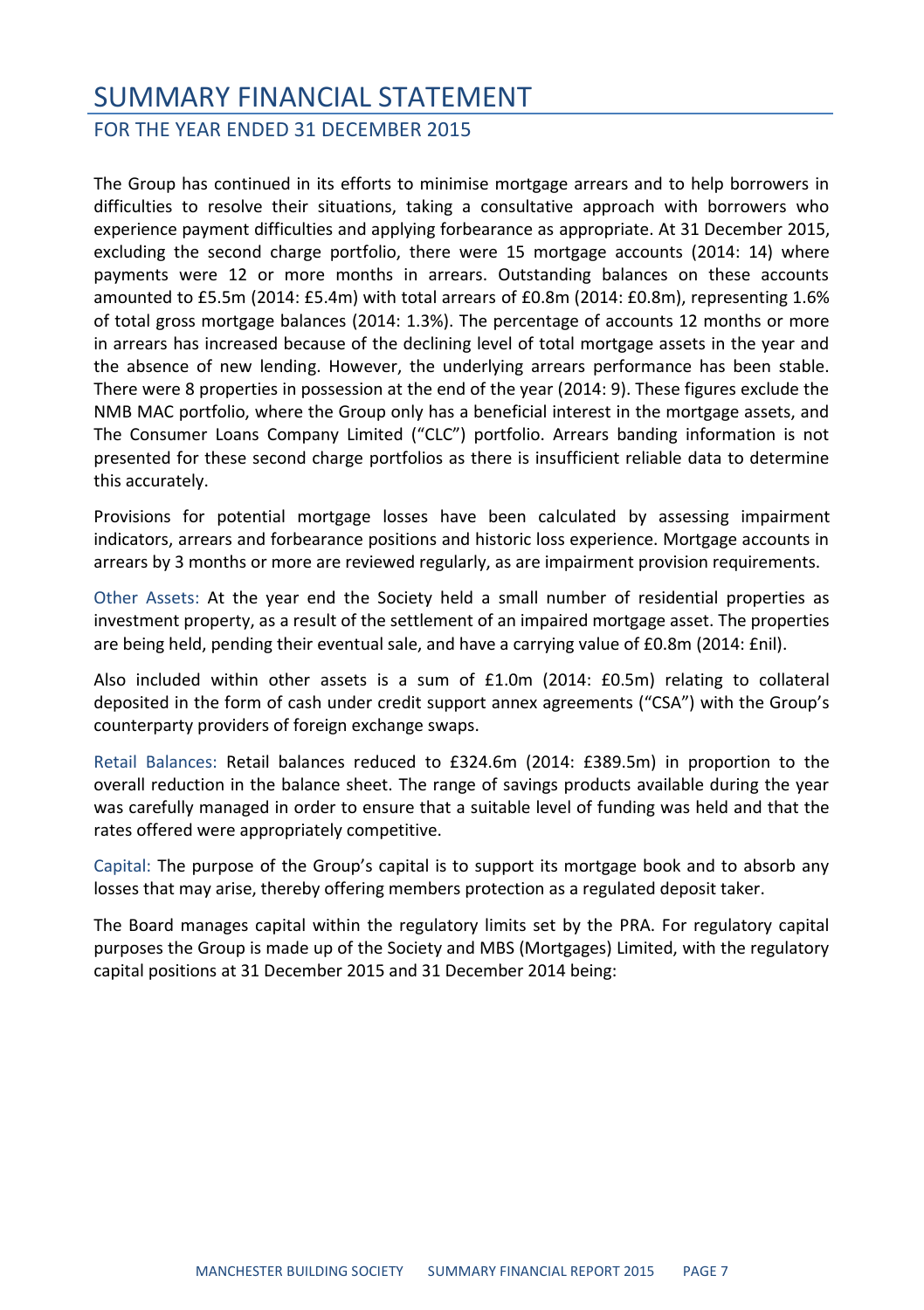#### FOR THE YEAR ENDED 31 DECEMBER 2015

The Group has continued in its efforts to minimise mortgage arrears and to help borrowers in difficulties to resolve their situations, taking a consultative approach with borrowers who experience payment difficulties and applying forbearance as appropriate. At 31 December 2015, excluding the second charge portfolio, there were 15 mortgage accounts (2014: 14) where payments were 12 or more months in arrears. Outstanding balances on these accounts amounted to £5.5m (2014: £5.4m) with total arrears of £0.8m (2014: £0.8m), representing 1.6% of total gross mortgage balances (2014: 1.3%). The percentage of accounts 12 months or more in arrears has increased because of the declining level of total mortgage assets in the year and the absence of new lending. However, the underlying arrears performance has been stable. There were 8 properties in possession at the end of the year (2014: 9). These figures exclude the NMB MAC portfolio, where the Group only has a beneficial interest in the mortgage assets, and The Consumer Loans Company Limited ("CLC") portfolio. Arrears banding information is not presented for these second charge portfolios as there is insufficient reliable data to determine this accurately.

Provisions for potential mortgage losses have been calculated by assessing impairment indicators, arrears and forbearance positions and historic loss experience. Mortgage accounts in arrears by 3 months or more are reviewed regularly, as are impairment provision requirements.

Other Assets: At the year end the Society held a small number of residential properties as investment property, as a result of the settlement of an impaired mortgage asset. The properties are being held, pending their eventual sale, and have a carrying value of £0.8m (2014: £nil).

Also included within other assets is a sum of £1.0m (2014: £0.5m) relating to collateral deposited in the form of cash under credit support annex agreements ("CSA") with the Group's counterparty providers of foreign exchange swaps.

Retail Balances: Retail balances reduced to £324.6m (2014: £389.5m) in proportion to the overall reduction in the balance sheet. The range of savings products available during the year was carefully managed in order to ensure that a suitable level of funding was held and that the rates offered were appropriately competitive.

Capital: The purpose of the Group's capital is to support its mortgage book and to absorb any losses that may arise, thereby offering members protection as a regulated deposit taker.

The Board manages capital within the regulatory limits set by the PRA. For regulatory capital purposes the Group is made up of the Society and MBS (Mortgages) Limited, with the regulatory capital positions at 31 December 2015 and 31 December 2014 being: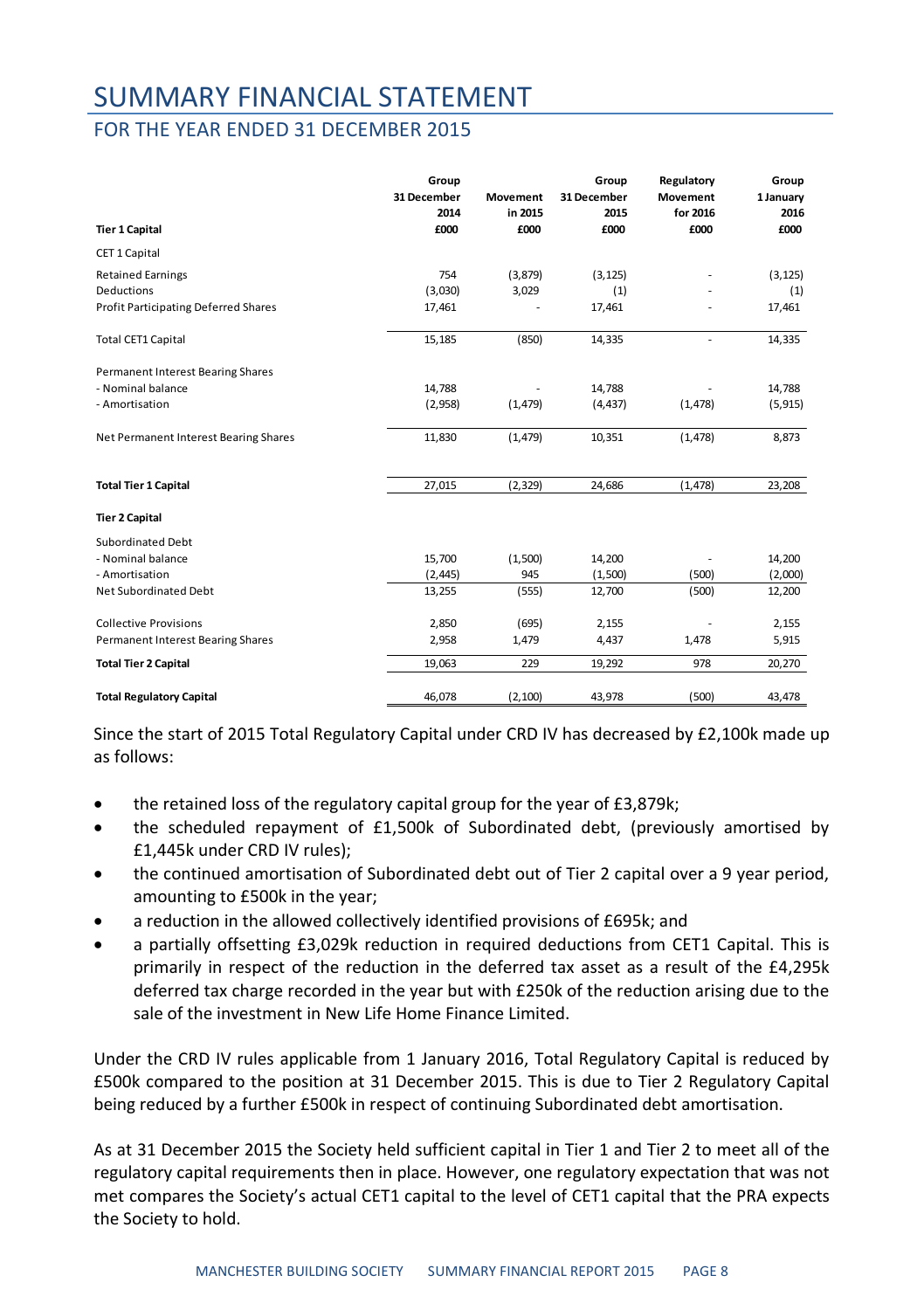#### FOR THE YEAR ENDED 31 DECEMBER 2015

|                                       | Group<br>31 December<br>2014 | Movement<br>in 2015 | Group<br>31 December<br>2015 | Regulatory<br><b>Movement</b><br>for 2016 | Group<br>1 January<br>2016 |
|---------------------------------------|------------------------------|---------------------|------------------------------|-------------------------------------------|----------------------------|
| <b>Tier 1 Capital</b>                 | £000                         | £000                | £000                         | £000                                      | £000                       |
| CET 1 Capital                         |                              |                     |                              |                                           |                            |
| <b>Retained Earnings</b>              | 754                          | (3,879)             | (3, 125)                     |                                           | (3, 125)                   |
| <b>Deductions</b>                     | (3,030)                      | 3,029               | (1)                          |                                           | (1)                        |
| Profit Participating Deferred Shares  | 17,461                       |                     | 17,461                       |                                           | 17,461                     |
| <b>Total CET1 Capital</b>             | 15,185                       | (850)               | 14,335                       | ÷.                                        | 14,335                     |
| Permanent Interest Bearing Shares     |                              |                     |                              |                                           |                            |
| - Nominal balance                     | 14,788                       |                     | 14,788                       |                                           | 14,788                     |
| - Amortisation                        | (2,958)                      | (1, 479)            | (4, 437)                     | (1, 478)                                  | (5, 915)                   |
| Net Permanent Interest Bearing Shares | 11,830                       | (1, 479)            | 10,351                       | (1, 478)                                  | 8,873                      |
| <b>Total Tier 1 Capital</b>           | 27,015                       | (2, 329)            | 24,686                       | (1, 478)                                  | 23,208                     |
| <b>Tier 2 Capital</b>                 |                              |                     |                              |                                           |                            |
| Subordinated Debt                     |                              |                     |                              |                                           |                            |
| - Nominal balance                     | 15,700                       | (1,500)             | 14,200                       |                                           | 14,200                     |
| - Amortisation                        | (2, 445)                     | 945                 | (1,500)                      | (500)                                     | (2,000)                    |
| Net Subordinated Debt                 | 13,255                       | (555)               | 12,700                       | (500)                                     | 12,200                     |
| <b>Collective Provisions</b>          | 2,850                        | (695)               | 2,155                        |                                           | 2,155                      |
| Permanent Interest Bearing Shares     | 2,958                        | 1,479               | 4,437                        | 1,478                                     | 5,915                      |
| <b>Total Tier 2 Capital</b>           | 19,063                       | 229                 | 19,292                       | 978                                       | 20,270                     |
| <b>Total Regulatory Capital</b>       | 46,078                       | (2, 100)            | 43,978                       | (500)                                     | 43,478                     |

Since the start of 2015 Total Regulatory Capital under CRD IV has decreased by £2,100k made up as follows:

- the retained loss of the regulatory capital group for the year of £3,879k;
- the scheduled repayment of £1,500k of Subordinated debt, (previously amortised by £1,445k under CRD IV rules);
- the continued amortisation of Subordinated debt out of Tier 2 capital over a 9 year period, amounting to £500k in the year;
- a reduction in the allowed collectively identified provisions of £695k; and
- a partially offsetting £3,029k reduction in required deductions from CET1 Capital. This is primarily in respect of the reduction in the deferred tax asset as a result of the £4,295k deferred tax charge recorded in the year but with £250k of the reduction arising due to the sale of the investment in New Life Home Finance Limited.

Under the CRD IV rules applicable from 1 January 2016, Total Regulatory Capital is reduced by £500k compared to the position at 31 December 2015. This is due to Tier 2 Regulatory Capital being reduced by a further £500k in respect of continuing Subordinated debt amortisation.

As at 31 December 2015 the Society held sufficient capital in Tier 1 and Tier 2 to meet all of the regulatory capital requirements then in place. However, one regulatory expectation that was not met compares the Society's actual CET1 capital to the level of CET1 capital that the PRA expects the Society to hold.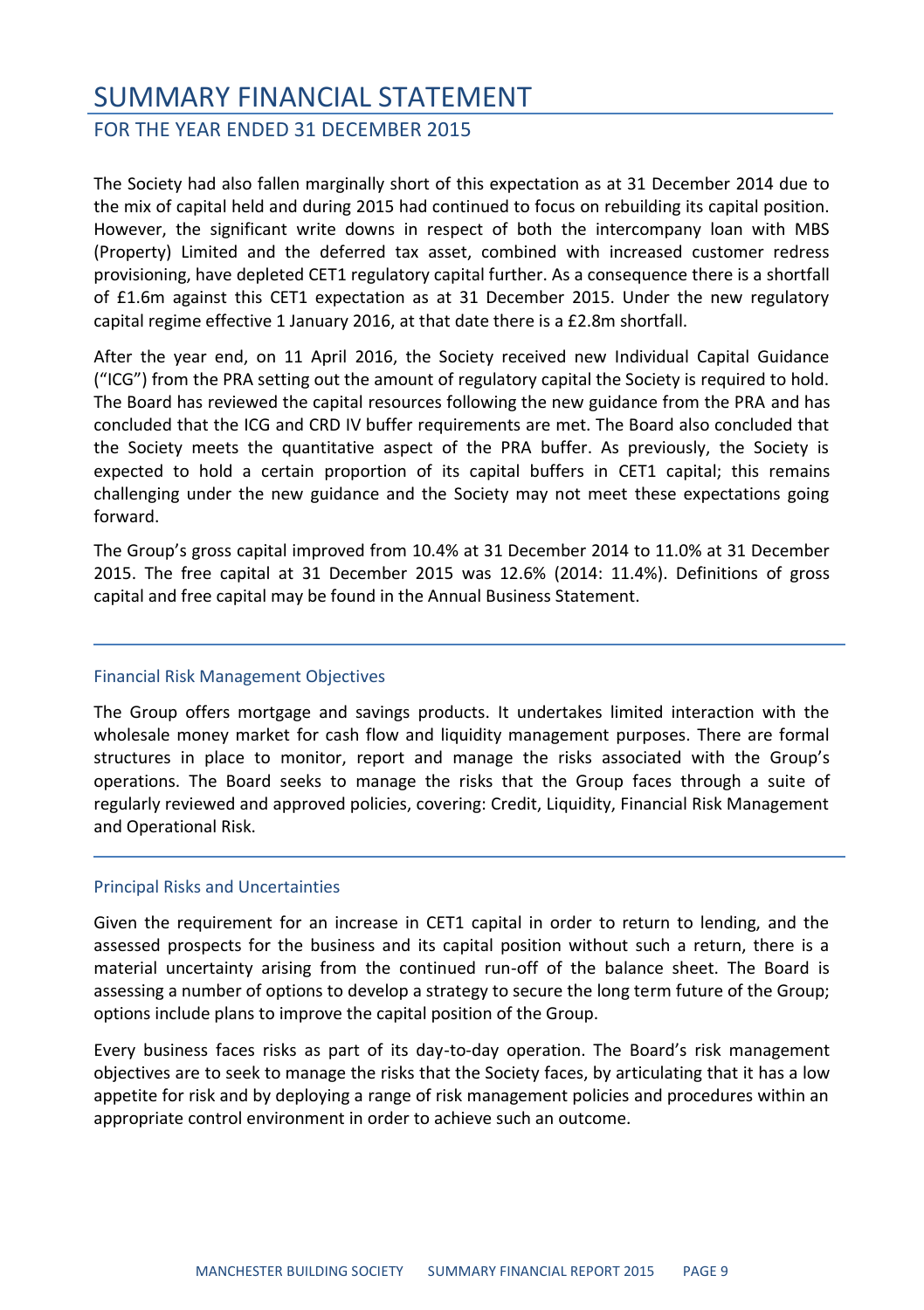#### FOR THE YEAR ENDED 31 DECEMBER 2015

The Society had also fallen marginally short of this expectation as at 31 December 2014 due to the mix of capital held and during 2015 had continued to focus on rebuilding its capital position. However, the significant write downs in respect of both the intercompany loan with MBS (Property) Limited and the deferred tax asset, combined with increased customer redress provisioning, have depleted CET1 regulatory capital further. As a consequence there is a shortfall of £1.6m against this CET1 expectation as at 31 December 2015. Under the new regulatory capital regime effective 1 January 2016, at that date there is a £2.8m shortfall.

After the year end, on 11 April 2016, the Society received new Individual Capital Guidance ("ICG") from the PRA setting out the amount of regulatory capital the Society is required to hold. The Board has reviewed the capital resources following the new guidance from the PRA and has concluded that the ICG and CRD IV buffer requirements are met. The Board also concluded that the Society meets the quantitative aspect of the PRA buffer. As previously, the Society is expected to hold a certain proportion of its capital buffers in CET1 capital; this remains challenging under the new guidance and the Society may not meet these expectations going forward.

The Group's gross capital improved from 10.4% at 31 December 2014 to 11.0% at 31 December 2015. The free capital at 31 December 2015 was 12.6% (2014: 11.4%). Definitions of gross capital and free capital may be found in the Annual Business Statement.

#### Financial Risk Management Objectives

The Group offers mortgage and savings products. It undertakes limited interaction with the wholesale money market for cash flow and liquidity management purposes. There are formal structures in place to monitor, report and manage the risks associated with the Group's operations. The Board seeks to manage the risks that the Group faces through a suite of regularly reviewed and approved policies, covering: Credit, Liquidity, Financial Risk Management and Operational Risk.

#### Principal Risks and Uncertainties

Given the requirement for an increase in CET1 capital in order to return to lending, and the assessed prospects for the business and its capital position without such a return, there is a material uncertainty arising from the continued run-off of the balance sheet. The Board is assessing a number of options to develop a strategy to secure the long term future of the Group; options include plans to improve the capital position of the Group.

Every business faces risks as part of its day-to-day operation. The Board's risk management objectives are to seek to manage the risks that the Society faces, by articulating that it has a low appetite for risk and by deploying a range of risk management policies and procedures within an appropriate control environment in order to achieve such an outcome.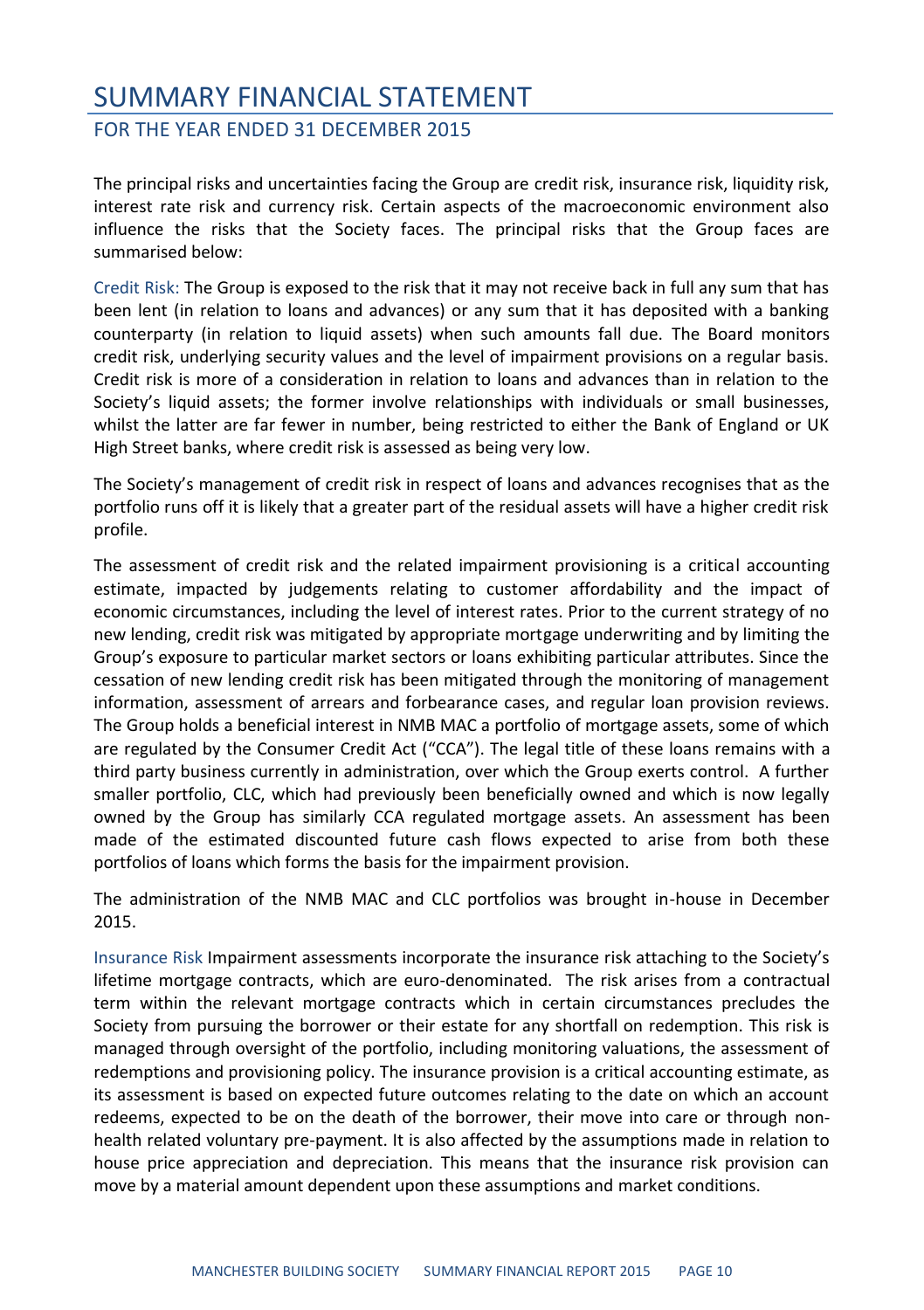FOR THE YEAR ENDED 31 DECEMBER 2015

The principal risks and uncertainties facing the Group are credit risk, insurance risk, liquidity risk, interest rate risk and currency risk. Certain aspects of the macroeconomic environment also influence the risks that the Society faces. The principal risks that the Group faces are summarised below:

Credit Risk: The Group is exposed to the risk that it may not receive back in full any sum that has been lent (in relation to loans and advances) or any sum that it has deposited with a banking counterparty (in relation to liquid assets) when such amounts fall due. The Board monitors credit risk, underlying security values and the level of impairment provisions on a regular basis. Credit risk is more of a consideration in relation to loans and advances than in relation to the Society's liquid assets; the former involve relationships with individuals or small businesses. whilst the latter are far fewer in number, being restricted to either the Bank of England or UK High Street banks, where credit risk is assessed as being very low.

The Society's management of credit risk in respect of loans and advances recognises that as the portfolio runs off it is likely that a greater part of the residual assets will have a higher credit risk profile.

The assessment of credit risk and the related impairment provisioning is a critical accounting estimate, impacted by judgements relating to customer affordability and the impact of economic circumstances, including the level of interest rates. Prior to the current strategy of no new lending, credit risk was mitigated by appropriate mortgage underwriting and by limiting the Group's exposure to particular market sectors or loans exhibiting particular attributes. Since the cessation of new lending credit risk has been mitigated through the monitoring of management information, assessment of arrears and forbearance cases, and regular loan provision reviews. The Group holds a beneficial interest in NMB MAC a portfolio of mortgage assets, some of which are regulated by the Consumer Credit Act ("CCA"). The legal title of these loans remains with a third party business currently in administration, over which the Group exerts control. A further smaller portfolio, CLC, which had previously been beneficially owned and which is now legally owned by the Group has similarly CCA regulated mortgage assets. An assessment has been made of the estimated discounted future cash flows expected to arise from both these portfolios of loans which forms the basis for the impairment provision.

The administration of the NMB MAC and CLC portfolios was brought in-house in December 2015.

Insurance Risk Impairment assessments incorporate the insurance risk attaching to the Society's lifetime mortgage contracts, which are euro-denominated. The risk arises from a contractual term within the relevant mortgage contracts which in certain circumstances precludes the Society from pursuing the borrower or their estate for any shortfall on redemption. This risk is managed through oversight of the portfolio, including monitoring valuations, the assessment of redemptions and provisioning policy. The insurance provision is a critical accounting estimate, as its assessment is based on expected future outcomes relating to the date on which an account redeems, expected to be on the death of the borrower, their move into care or through nonhealth related voluntary pre-payment. It is also affected by the assumptions made in relation to house price appreciation and depreciation. This means that the insurance risk provision can move by a material amount dependent upon these assumptions and market conditions.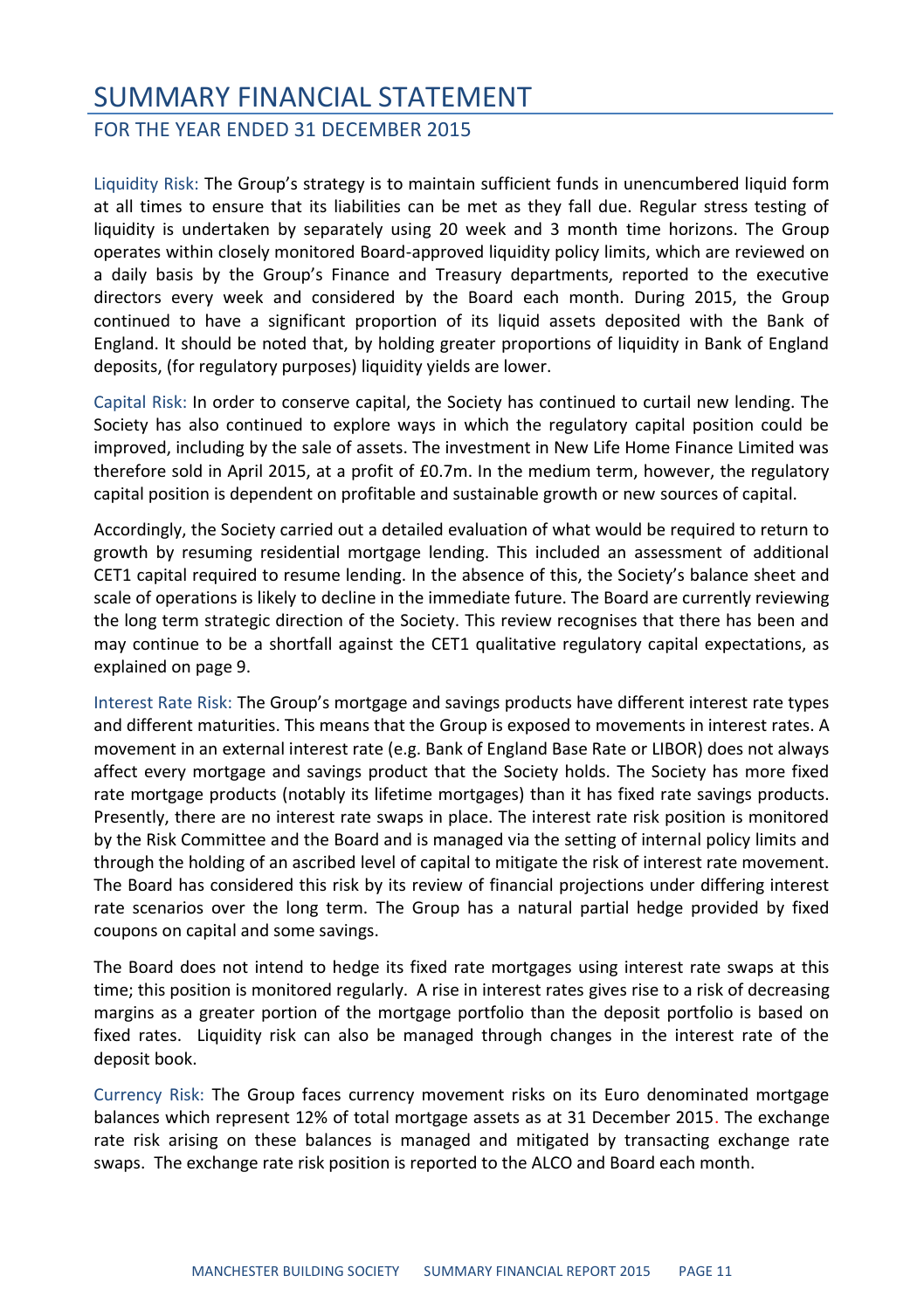#### FOR THE YEAR ENDED 31 DECEMBER 2015

Liquidity Risk: The Group's strategy is to maintain sufficient funds in unencumbered liquid form at all times to ensure that its liabilities can be met as they fall due. Regular stress testing of liquidity is undertaken by separately using 20 week and 3 month time horizons. The Group operates within closely monitored Board-approved liquidity policy limits, which are reviewed on a daily basis by the Group's Finance and Treasury departments, reported to the executive directors every week and considered by the Board each month. During 2015, the Group continued to have a significant proportion of its liquid assets deposited with the Bank of England. It should be noted that, by holding greater proportions of liquidity in Bank of England deposits, (for regulatory purposes) liquidity yields are lower.

Capital Risk: In order to conserve capital, the Society has continued to curtail new lending. The Society has also continued to explore ways in which the regulatory capital position could be improved, including by the sale of assets. The investment in New Life Home Finance Limited was therefore sold in April 2015, at a profit of £0.7m. In the medium term, however, the regulatory capital position is dependent on profitable and sustainable growth or new sources of capital.

Accordingly, the Society carried out a detailed evaluation of what would be required to return to growth by resuming residential mortgage lending. This included an assessment of additional CET1 capital required to resume lending. In the absence of this, the Society's balance sheet and scale of operations is likely to decline in the immediate future. The Board are currently reviewing the long term strategic direction of the Society. This review recognises that there has been and may continue to be a shortfall against the CET1 qualitative regulatory capital expectations, as explained on page 9.

Interest Rate Risk: The Group's mortgage and savings products have different interest rate types and different maturities. This means that the Group is exposed to movements in interest rates. A movement in an external interest rate (e.g. Bank of England Base Rate or LIBOR) does not always affect every mortgage and savings product that the Society holds. The Society has more fixed rate mortgage products (notably its lifetime mortgages) than it has fixed rate savings products. Presently, there are no interest rate swaps in place. The interest rate risk position is monitored by the Risk Committee and the Board and is managed via the setting of internal policy limits and through the holding of an ascribed level of capital to mitigate the risk of interest rate movement. The Board has considered this risk by its review of financial projections under differing interest rate scenarios over the long term. The Group has a natural partial hedge provided by fixed coupons on capital and some savings.

The Board does not intend to hedge its fixed rate mortgages using interest rate swaps at this time; this position is monitored regularly. A rise in interest rates gives rise to a risk of decreasing margins as a greater portion of the mortgage portfolio than the deposit portfolio is based on fixed rates. Liquidity risk can also be managed through changes in the interest rate of the deposit book.

Currency Risk: The Group faces currency movement risks on its Euro denominated mortgage balances which represent 12% of total mortgage assets as at 31 December 2015. The exchange rate risk arising on these balances is managed and mitigated by transacting exchange rate swaps. The exchange rate risk position is reported to the ALCO and Board each month.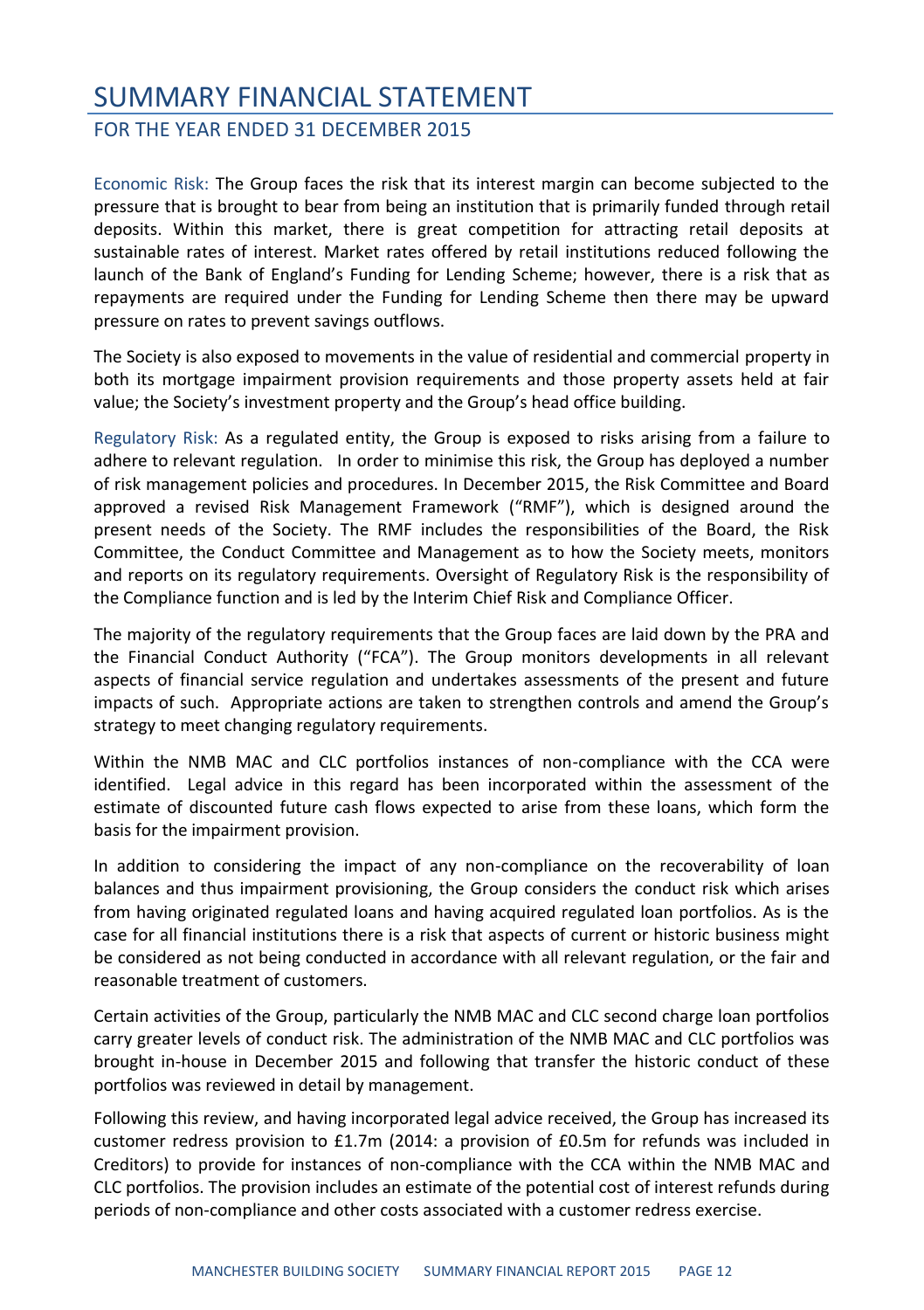#### FOR THE YEAR ENDED 31 DECEMBER 2015

Economic Risk: The Group faces the risk that its interest margin can become subjected to the pressure that is brought to bear from being an institution that is primarily funded through retail deposits. Within this market, there is great competition for attracting retail deposits at sustainable rates of interest. Market rates offered by retail institutions reduced following the launch of the Bank of England's Funding for Lending Scheme; however, there is a risk that as repayments are required under the Funding for Lending Scheme then there may be upward pressure on rates to prevent savings outflows.

The Society is also exposed to movements in the value of residential and commercial property in both its mortgage impairment provision requirements and those property assets held at fair value; the Society's investment property and the Group's head office building.

Regulatory Risk: As a regulated entity, the Group is exposed to risks arising from a failure to adhere to relevant regulation. In order to minimise this risk, the Group has deployed a number of risk management policies and procedures. In December 2015, the Risk Committee and Board approved a revised Risk Management Framework ("RMF"), which is designed around the present needs of the Society. The RMF includes the responsibilities of the Board, the Risk Committee, the Conduct Committee and Management as to how the Society meets, monitors and reports on its regulatory requirements. Oversight of Regulatory Risk is the responsibility of the Compliance function and is led by the Interim Chief Risk and Compliance Officer.

The majority of the regulatory requirements that the Group faces are laid down by the PRA and the Financial Conduct Authority ("FCA"). The Group monitors developments in all relevant aspects of financial service regulation and undertakes assessments of the present and future impacts of such. Appropriate actions are taken to strengthen controls and amend the Group's strategy to meet changing regulatory requirements.

Within the NMB MAC and CLC portfolios instances of non-compliance with the CCA were identified. Legal advice in this regard has been incorporated within the assessment of the estimate of discounted future cash flows expected to arise from these loans, which form the basis for the impairment provision.

In addition to considering the impact of any non-compliance on the recoverability of loan balances and thus impairment provisioning, the Group considers the conduct risk which arises from having originated regulated loans and having acquired regulated loan portfolios. As is the case for all financial institutions there is a risk that aspects of current or historic business might be considered as not being conducted in accordance with all relevant regulation, or the fair and reasonable treatment of customers.

Certain activities of the Group, particularly the NMB MAC and CLC second charge loan portfolios carry greater levels of conduct risk. The administration of the NMB MAC and CLC portfolios was brought in-house in December 2015 and following that transfer the historic conduct of these portfolios was reviewed in detail by management.

Following this review, and having incorporated legal advice received, the Group has increased its customer redress provision to £1.7m (2014: a provision of £0.5m for refunds was included in Creditors) to provide for instances of non-compliance with the CCA within the NMB MAC and CLC portfolios. The provision includes an estimate of the potential cost of interest refunds during periods of non-compliance and other costs associated with a customer redress exercise.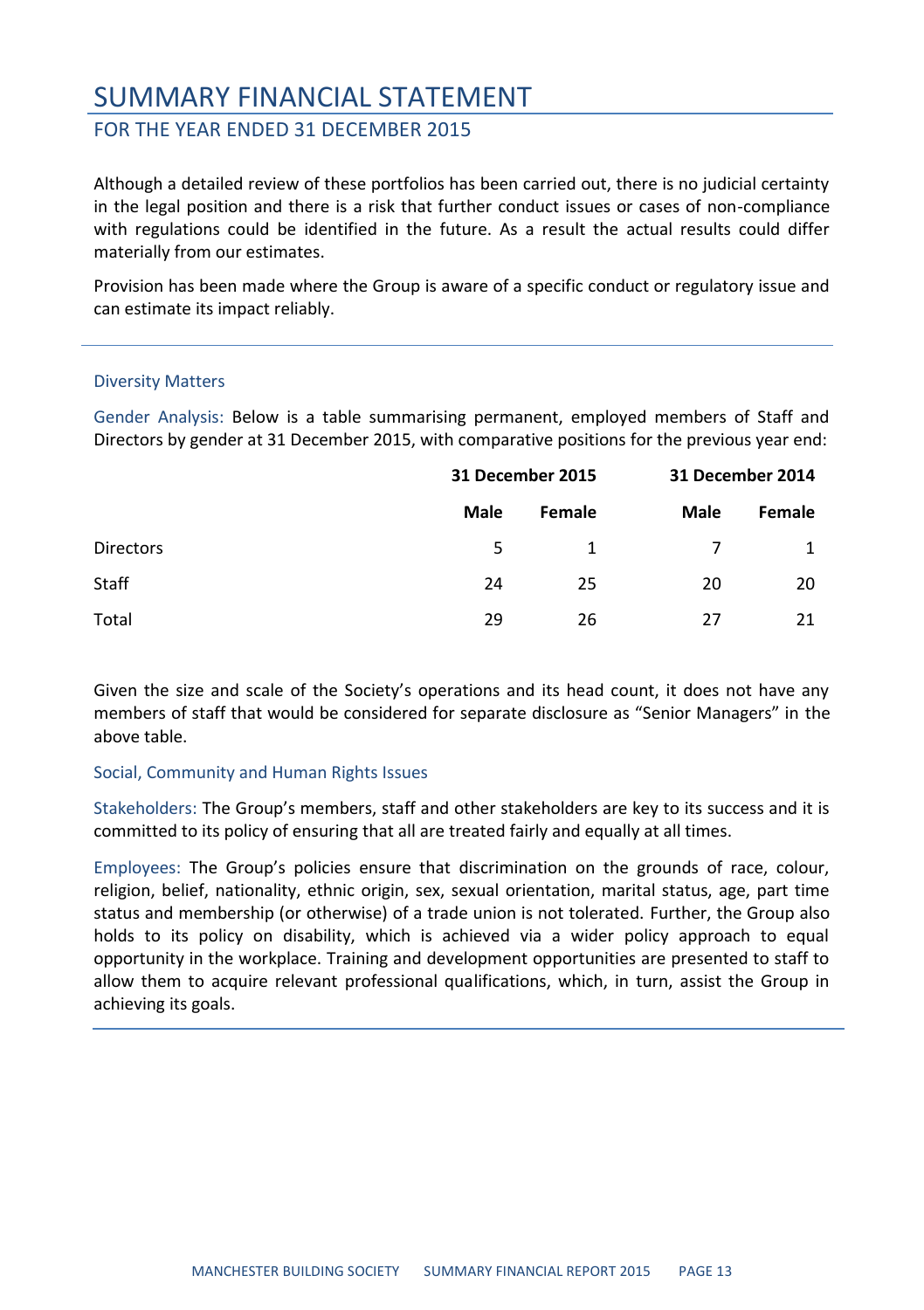#### FOR THE YEAR ENDED 31 DECEMBER 2015

Although a detailed review of these portfolios has been carried out, there is no judicial certainty in the legal position and there is a risk that further conduct issues or cases of non-compliance with regulations could be identified in the future. As a result the actual results could differ materially from our estimates.

Provision has been made where the Group is aware of a specific conduct or regulatory issue and can estimate its impact reliably.

#### Diversity Matters

Gender Analysis: Below is a table summarising permanent, employed members of Staff and Directors by gender at 31 December 2015, with comparative positions for the previous year end:

|                  | 31 December 2015 |        | 31 December 2014 |        |
|------------------|------------------|--------|------------------|--------|
|                  | Male             | Female | Male             | Female |
| <b>Directors</b> | 5                | 1      |                  |        |
| Staff            | 24               | 25     | 20               | 20     |
| Total            | 29               | 26     | 27               | 21     |

Given the size and scale of the Society's operations and its head count, it does not have any members of staff that would be considered for separate disclosure as "Senior Managers" in the above table.

#### Social, Community and Human Rights Issues

Stakeholders: The Group's members, staff and other stakeholders are key to its success and it is committed to its policy of ensuring that all are treated fairly and equally at all times.

Employees: The Group's policies ensure that discrimination on the grounds of race, colour, religion, belief, nationality, ethnic origin, sex, sexual orientation, marital status, age, part time status and membership (or otherwise) of a trade union is not tolerated. Further, the Group also holds to its policy on disability, which is achieved via a wider policy approach to equal opportunity in the workplace. Training and development opportunities are presented to staff to allow them to acquire relevant professional qualifications, which, in turn, assist the Group in achieving its goals.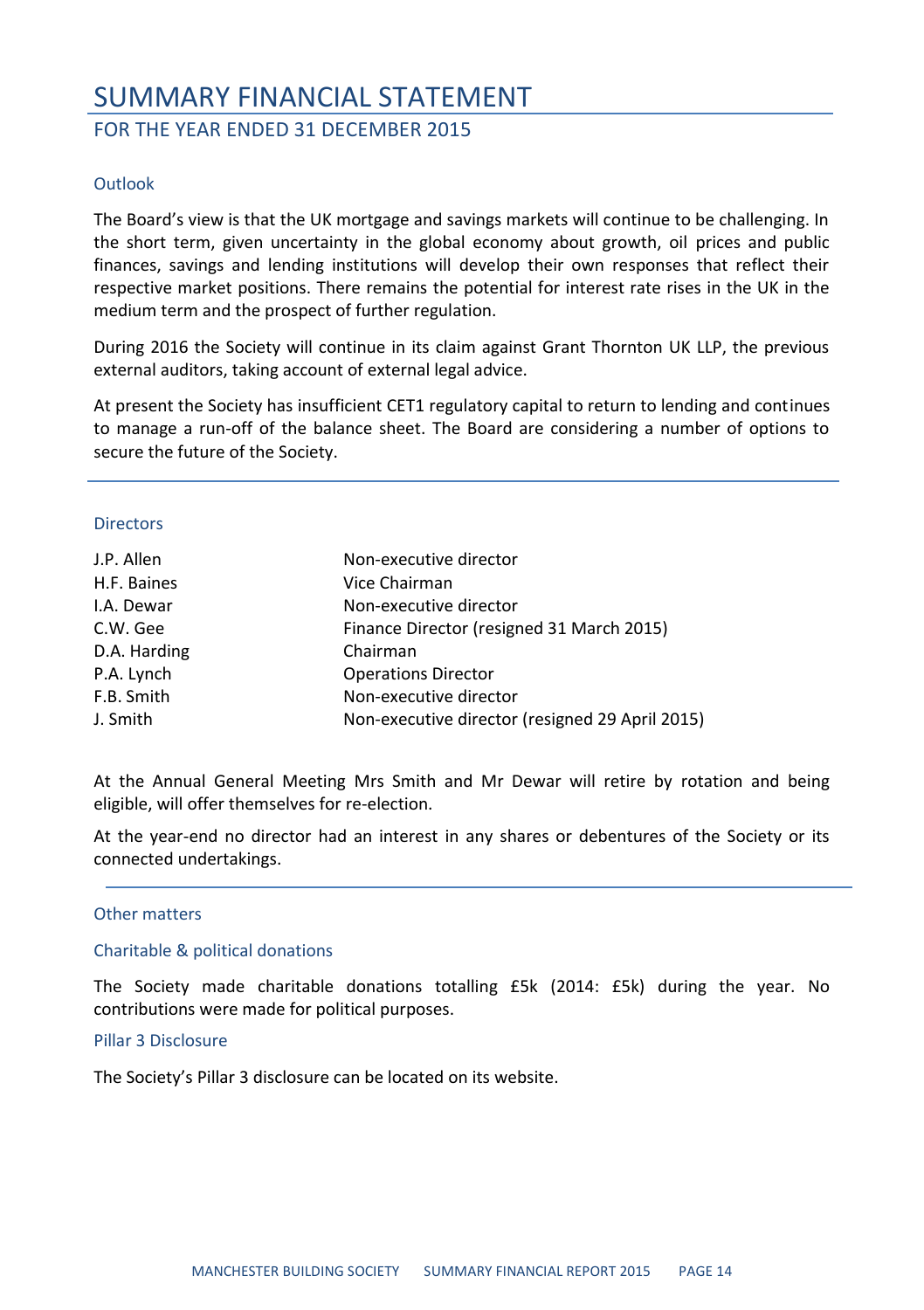#### FOR THE YEAR ENDED 31 DECEMBER 2015

#### Outlook

The Board's view is that the UK mortgage and savings markets will continue to be challenging. In the short term, given uncertainty in the global economy about growth, oil prices and public finances, savings and lending institutions will develop their own responses that reflect their respective market positions. There remains the potential for interest rate rises in the UK in the medium term and the prospect of further regulation.

During 2016 the Society will continue in its claim against Grant Thornton UK LLP, the previous external auditors, taking account of external legal advice.

At present the Society has insufficient CET1 regulatory capital to return to lending and continues to manage a run-off of the balance sheet. The Board are considering a number of options to secure the future of the Society.

#### **Directors**

| J.P. Allen   | Non-executive director                          |
|--------------|-------------------------------------------------|
| H.F. Baines  | Vice Chairman                                   |
| I.A. Dewar   | Non-executive director                          |
| C.W. Gee     | Finance Director (resigned 31 March 2015)       |
| D.A. Harding | Chairman                                        |
| P.A. Lynch   | <b>Operations Director</b>                      |
| F.B. Smith   | Non-executive director                          |
| J. Smith     | Non-executive director (resigned 29 April 2015) |
|              |                                                 |

At the Annual General Meeting Mrs Smith and Mr Dewar will retire by rotation and being eligible, will offer themselves for re-election.

At the year-end no director had an interest in any shares or debentures of the Society or its connected undertakings.

#### Other matters

#### Charitable & political donations

The Society made charitable donations totalling £5k (2014: £5k) during the year. No contributions were made for political purposes.

#### Pillar 3 Disclosure

The Society's Pillar 3 disclosure can be located on its website.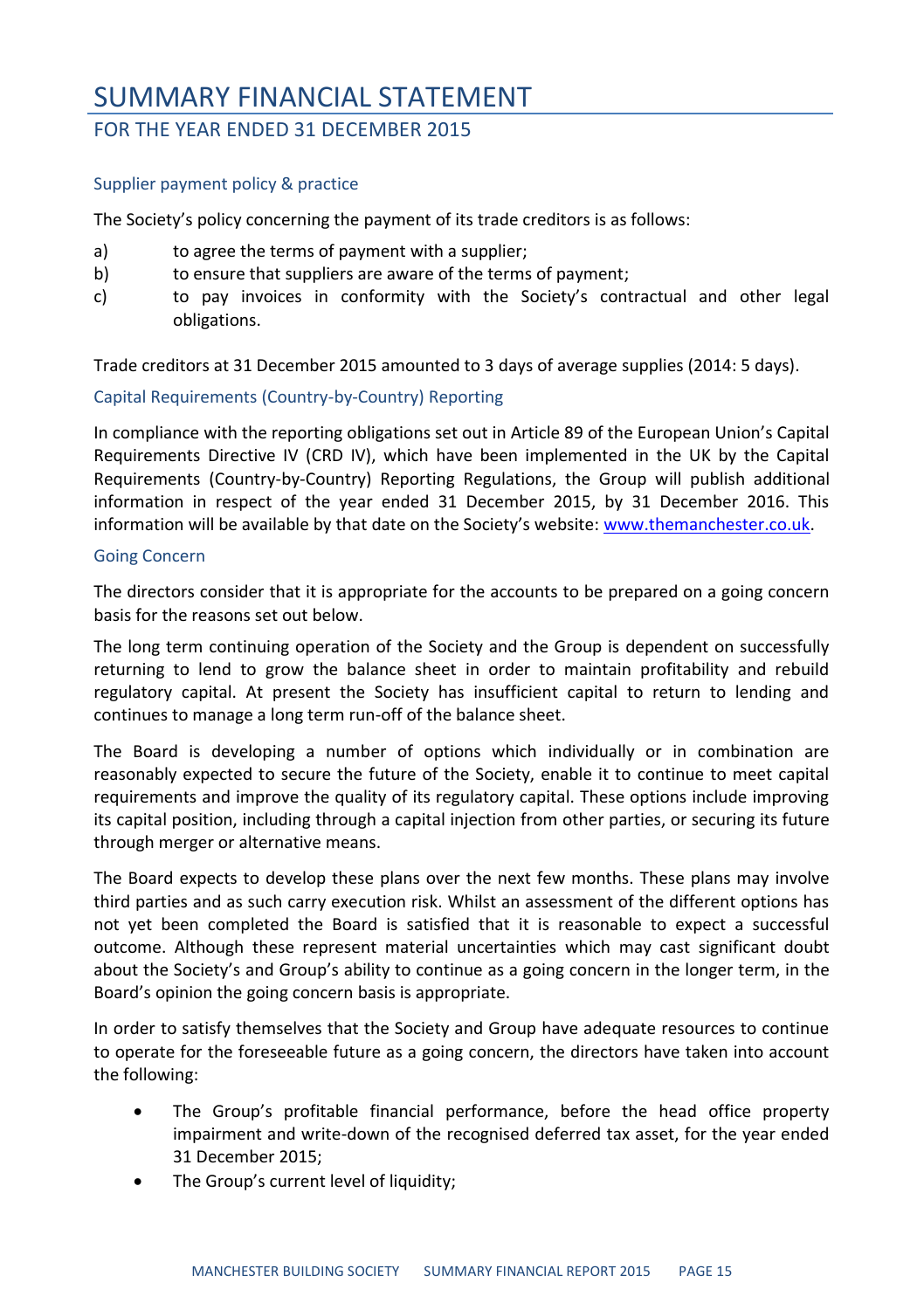#### FOR THE YEAR ENDED 31 DECEMBER 2015

#### Supplier payment policy & practice

The Society's policy concerning the payment of its trade creditors is as follows:

- a) to agree the terms of payment with a supplier;
- b) to ensure that suppliers are aware of the terms of payment;
- c) to pay invoices in conformity with the Society's contractual and other legal obligations.

Trade creditors at 31 December 2015 amounted to 3 days of average supplies (2014: 5 days).

#### Capital Requirements (Country-by-Country) Reporting

In compliance with the reporting obligations set out in Article 89 of the European Union's Capital Requirements Directive IV (CRD IV), which have been implemented in the UK by the Capital Requirements (Country-by-Country) Reporting Regulations, the Group will publish additional information in respect of the year ended 31 December 2015, by 31 December 2016. This information will be available by that date on the Society's website: [www.themanchester.co.uk.](http://www.themanchester.co.uk/)

#### Going Concern

The directors consider that it is appropriate for the accounts to be prepared on a going concern basis for the reasons set out below.

The long term continuing operation of the Society and the Group is dependent on successfully returning to lend to grow the balance sheet in order to maintain profitability and rebuild regulatory capital. At present the Society has insufficient capital to return to lending and continues to manage a long term run-off of the balance sheet.

The Board is developing a number of options which individually or in combination are reasonably expected to secure the future of the Society, enable it to continue to meet capital requirements and improve the quality of its regulatory capital. These options include improving its capital position, including through a capital injection from other parties, or securing its future through merger or alternative means.

The Board expects to develop these plans over the next few months. These plans may involve third parties and as such carry execution risk. Whilst an assessment of the different options has not yet been completed the Board is satisfied that it is reasonable to expect a successful outcome. Although these represent material uncertainties which may cast significant doubt about the Society's and Group's ability to continue as a going concern in the longer term, in the Board's opinion the going concern basis is appropriate.

In order to satisfy themselves that the Society and Group have adequate resources to continue to operate for the foreseeable future as a going concern, the directors have taken into account the following:

- The Group's profitable financial performance, before the head office property impairment and write-down of the recognised deferred tax asset, for the year ended 31 December 2015;
- The Group's current level of liquidity;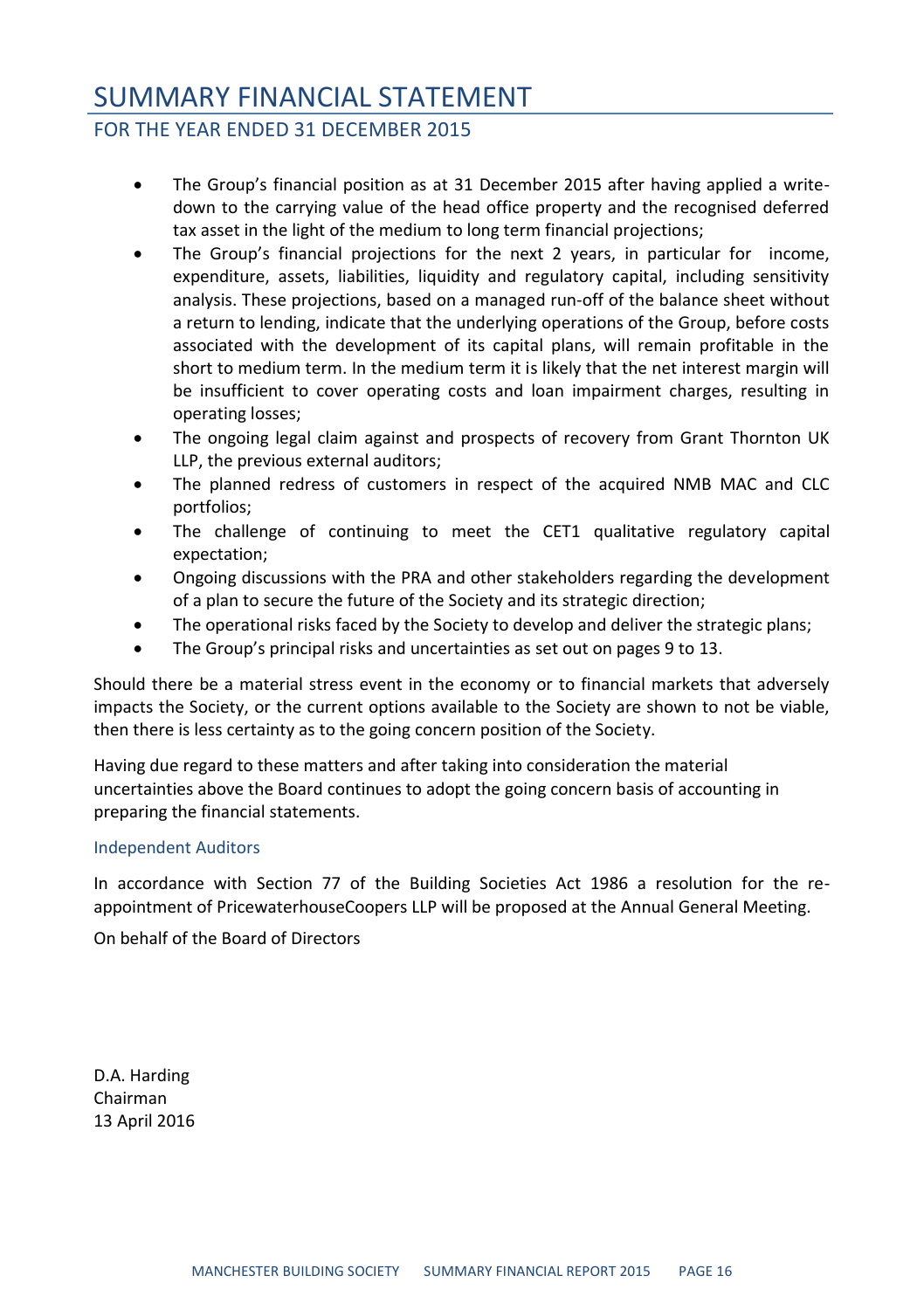#### FOR THE YEAR ENDED 31 DECEMBER 2015

- The Group's financial position as at 31 December 2015 after having applied a writedown to the carrying value of the head office property and the recognised deferred tax asset in the light of the medium to long term financial projections;
- The Group's financial projections for the next 2 years, in particular for income, expenditure, assets, liabilities, liquidity and regulatory capital, including sensitivity analysis. These projections, based on a managed run-off of the balance sheet without a return to lending, indicate that the underlying operations of the Group, before costs associated with the development of its capital plans, will remain profitable in the short to medium term. In the medium term it is likely that the net interest margin will be insufficient to cover operating costs and loan impairment charges, resulting in operating losses;
- The ongoing legal claim against and prospects of recovery from Grant Thornton UK LLP, the previous external auditors;
- The planned redress of customers in respect of the acquired NMB MAC and CLC portfolios;
- The challenge of continuing to meet the CET1 qualitative regulatory capital expectation;
- Ongoing discussions with the PRA and other stakeholders regarding the development of a plan to secure the future of the Society and its strategic direction;
- The operational risks faced by the Society to develop and deliver the strategic plans;
- The Group's principal risks and uncertainties as set out on pages 9 to 13.

Should there be a material stress event in the economy or to financial markets that adversely impacts the Society, or the current options available to the Society are shown to not be viable, then there is less certainty as to the going concern position of the Society.

Having due regard to these matters and after taking into consideration the material uncertainties above the Board continues to adopt the going concern basis of accounting in preparing the financial statements.

#### Independent Auditors

In accordance with Section 77 of the Building Societies Act 1986 a resolution for the reappointment of PricewaterhouseCoopers LLP will be proposed at the Annual General Meeting.

On behalf of the Board of Directors

D.A. Harding Chairman 13 April 2016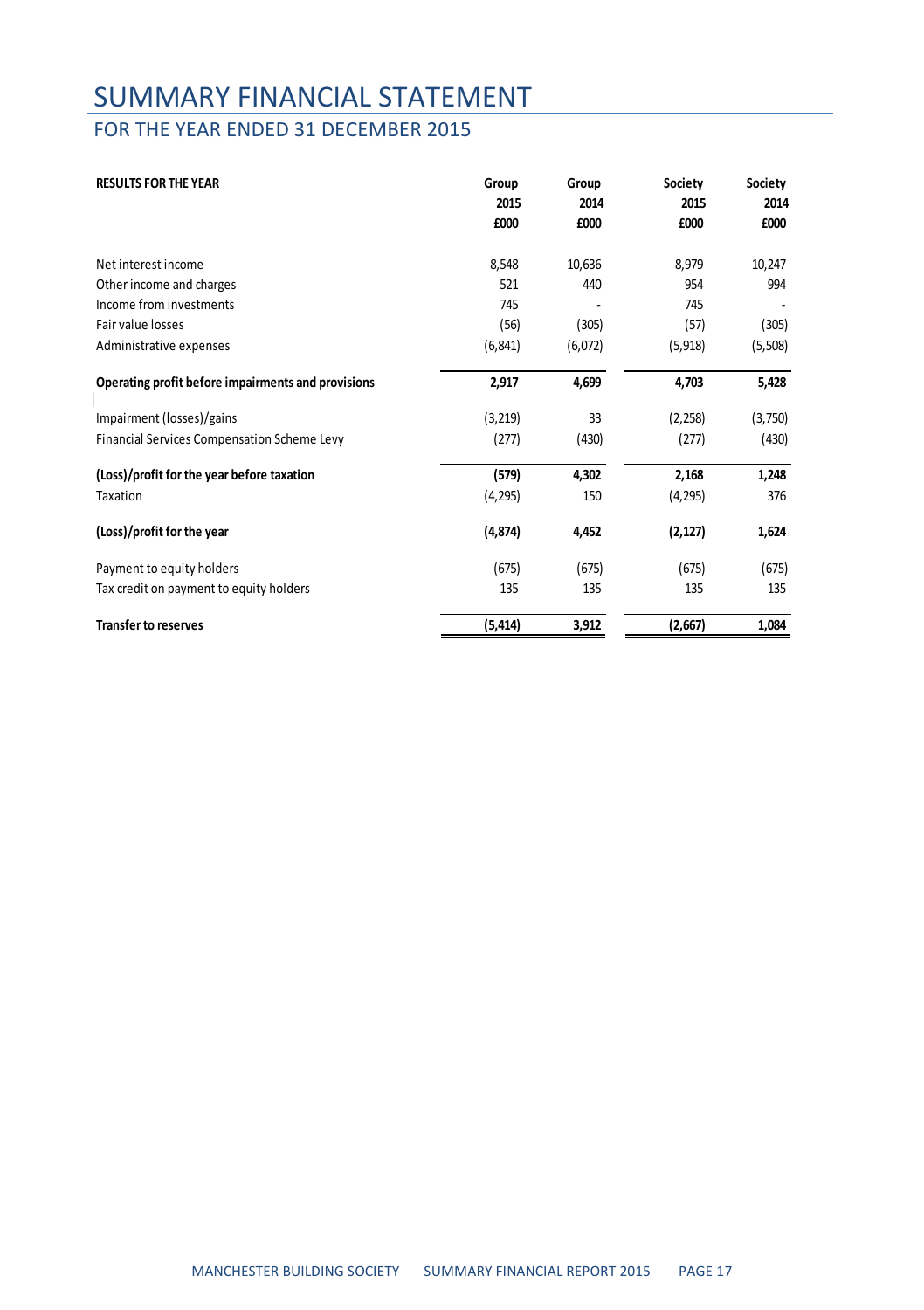### FOR THE YEAR ENDED 31 DECEMBER 2015

| <b>RESULTS FOR THE YEAR</b>                        | Group    | Group   | Society  | Society |
|----------------------------------------------------|----------|---------|----------|---------|
|                                                    | 2015     | 2014    | 2015     | 2014    |
|                                                    | £000     | £000    | £000     | £000    |
| Net interest income                                | 8,548    | 10,636  | 8,979    | 10,247  |
| Other income and charges                           | 521      | 440     | 954      | 994     |
| Income from investments                            | 745      |         | 745      |         |
| Fair value losses                                  | (56)     | (305)   | (57)     | (305)   |
| Administrative expenses                            | (6, 841) | (6,072) | (5, 918) | (5,508) |
| Operating profit before impairments and provisions | 2,917    | 4,699   | 4,703    | 5,428   |
| Impairment (losses)/gains                          | (3, 219) | 33      | (2, 258) | (3,750) |
| Financial Services Compensation Scheme Levy        | (277)    | (430)   | (277)    | (430)   |
| (Loss)/profit for the year before taxation         | (579)    | 4,302   | 2,168    | 1,248   |
| Taxation                                           | (4, 295) | 150     | (4, 295) | 376     |
| (Loss)/profit for the year                         | (4, 874) | 4,452   | (2, 127) | 1,624   |
| Payment to equity holders                          | (675)    | (675)   | (675)    | (675)   |
| Tax credit on payment to equity holders            | 135      | 135     | 135      | 135     |
| <b>Transfer to reserves</b>                        | (5, 414) | 3,912   | (2,667)  | 1,084   |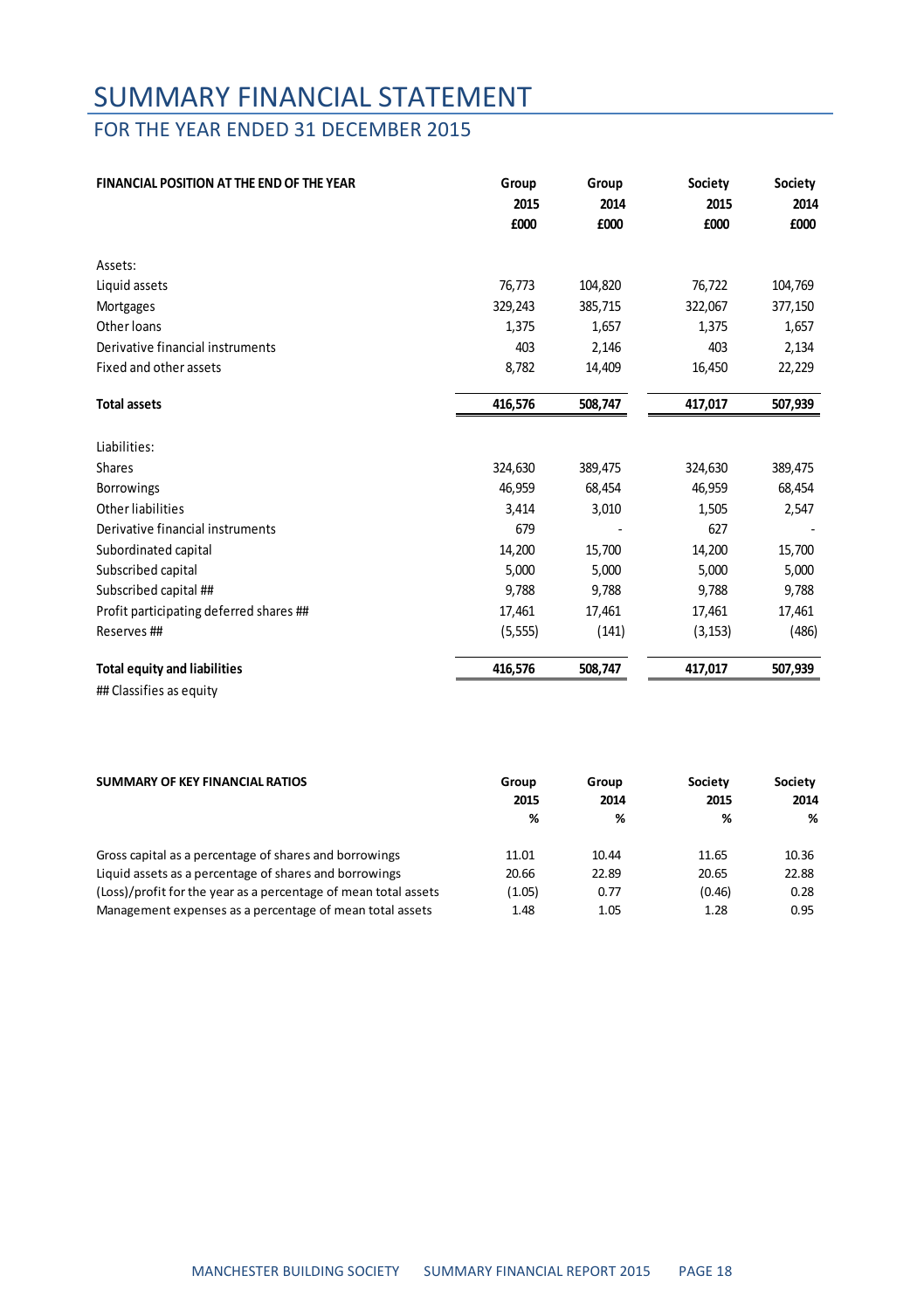### FOR THE YEAR ENDED 31 DECEMBER 2015

| FINANCIAL POSITION AT THE END OF THE YEAR | Group    | Group   | Society  | Society |
|-------------------------------------------|----------|---------|----------|---------|
|                                           | 2015     | 2014    | 2015     | 2014    |
|                                           | £000     | £000    | £000     | £000    |
| Assets:                                   |          |         |          |         |
| Liquid assets                             | 76,773   | 104,820 | 76,722   | 104,769 |
| Mortgages                                 | 329,243  | 385,715 | 322,067  | 377,150 |
| Other loans                               | 1,375    | 1,657   | 1,375    | 1,657   |
| Derivative financial instruments          | 403      | 2,146   | 403      | 2,134   |
| Fixed and other assets                    | 8,782    | 14,409  | 16,450   | 22,229  |
| <b>Total assets</b>                       | 416,576  | 508,747 | 417,017  | 507,939 |
| Liabilities:                              |          |         |          |         |
| Shares                                    | 324,630  | 389,475 | 324,630  | 389,475 |
| Borrowings                                | 46.959   | 68,454  | 46,959   | 68,454  |
| Other liabilities                         | 3,414    | 3,010   | 1,505    | 2,547   |
| Derivative financial instruments          | 679      |         | 627      |         |
| Subordinated capital                      | 14,200   | 15,700  | 14,200   | 15,700  |
| Subscribed capital                        | 5,000    | 5,000   | 5,000    | 5,000   |
| Subscribed capital ##                     | 9,788    | 9,788   | 9,788    | 9,788   |
| Profit participating deferred shares ##   | 17,461   | 17,461  | 17,461   | 17,461  |
| Reserves ##                               | (5, 555) | (141)   | (3, 153) | (486)   |
| <b>Total equity and liabilities</b>       | 416.576  | 508.747 | 417,017  | 507,939 |

## Classifies as equity

| SUMMARY OF KEY FINANCIAL RATIOS                                 | Group  | Group | Society | Society |
|-----------------------------------------------------------------|--------|-------|---------|---------|
|                                                                 | 2015   | 2014  | 2015    | 2014    |
|                                                                 | %      | %     | %       | %       |
| Gross capital as a percentage of shares and borrowings          | 11.01  | 10.44 | 11.65   | 10.36   |
| Liquid assets as a percentage of shares and borrowings          | 20.66  | 22.89 | 20.65   | 22.88   |
| (Loss)/profit for the year as a percentage of mean total assets | (1.05) | 0.77  | (0.46)  | 0.28    |
| Management expenses as a percentage of mean total assets        | 1.48   | 1.05  | 1.28    | 0.95    |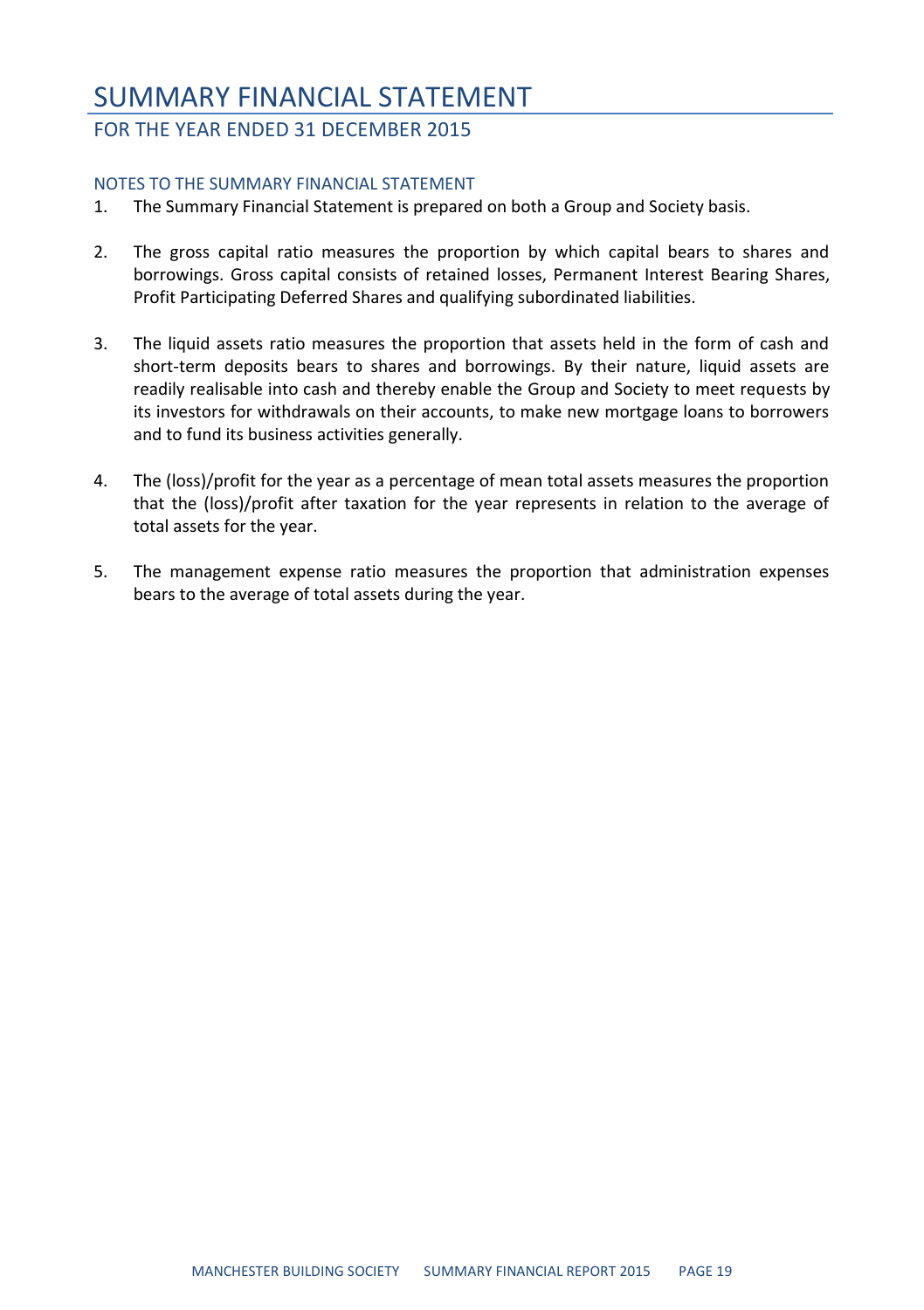### SUMMARY FINANCIAL STATEMENT FOR THE YEAR ENDED 31 DECEMBER 2015

#### NOTES TO THE SUMMARY FINANCIAL STATEMENT

- 1. The Summary Financial Statement is prepared on both a Group and Society basis.
- 2. The gross capital ratio measures the proportion by which capital bears to shares and borrowings. Gross capital consists of retained losses, Permanent Interest Bearing Shares, Profit Participating Deferred Shares and qualifying subordinated liabilities.
- 3. The liquid assets ratio measures the proportion that assets held in the form of cash and short-term deposits bears to shares and borrowings. By their nature, liquid assets are readily realisable into cash and thereby enable the Group and Society to meet requests by its investors for withdrawals on their accounts, to make new mortgage loans to borrowers and to fund its business activities generally.
- 4. The (loss)/profit for the year as a percentage of mean total assets measures the proportion that the (loss)/profit after taxation for the year represents in relation to the average of total assets for the year.
- 5. The management expense ratio measures the proportion that administration expenses bears to the average of total assets during the year.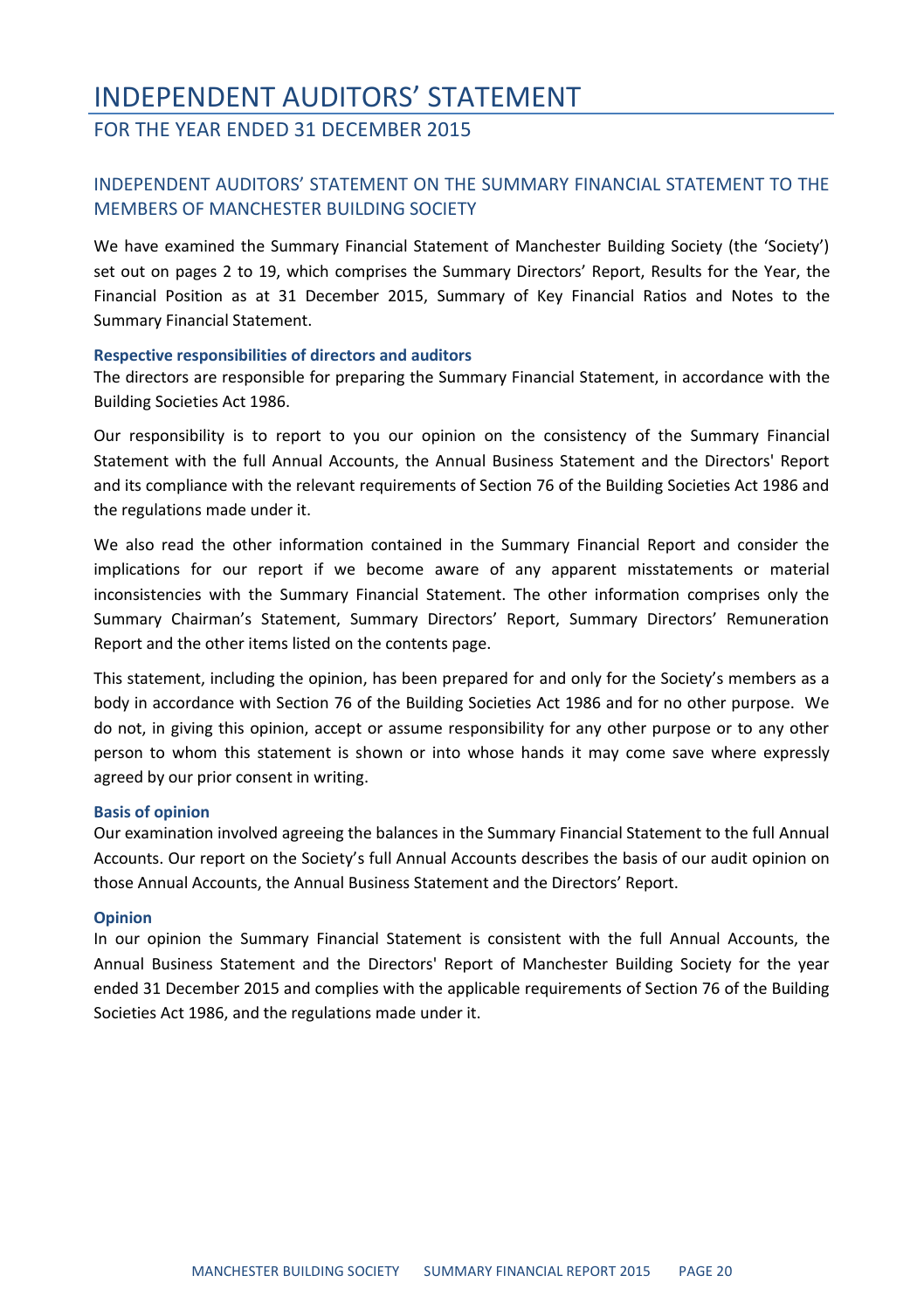### INDEPENDENT AUDITORS' STATEMENT FOR THE YEAR ENDED 31 DECEMBER 2015

#### INDEPENDENT AUDITORS' STATEMENT ON THE SUMMARY FINANCIAL STATEMENT TO THE MEMBERS OF MANCHESTER BUILDING SOCIETY

We have examined the Summary Financial Statement of Manchester Building Society (the 'Society') set out on pages 2 to 19, which comprises the Summary Directors' Report, Results for the Year, the Financial Position as at 31 December 2015, Summary of Key Financial Ratios and Notes to the Summary Financial Statement.

#### **Respective responsibilities of directors and auditors**

The directors are responsible for preparing the Summary Financial Statement, in accordance with the Building Societies Act 1986.

Our responsibility is to report to you our opinion on the consistency of the Summary Financial Statement with the full Annual Accounts, the Annual Business Statement and the Directors' Report and its compliance with the relevant requirements of Section 76 of the Building Societies Act 1986 and the regulations made under it.

We also read the other information contained in the Summary Financial Report and consider the implications for our report if we become aware of any apparent misstatements or material inconsistencies with the Summary Financial Statement. The other information comprises only the Summary Chairman's Statement, Summary Directors' Report, Summary Directors' Remuneration Report and the other items listed on the contents page.

This statement, including the opinion, has been prepared for and only for the Society's members as a body in accordance with Section 76 of the Building Societies Act 1986 and for no other purpose. We do not, in giving this opinion, accept or assume responsibility for any other purpose or to any other person to whom this statement is shown or into whose hands it may come save where expressly agreed by our prior consent in writing.

#### **Basis of opinion**

Our examination involved agreeing the balances in the Summary Financial Statement to the full Annual Accounts. Our report on the Society's full Annual Accounts describes the basis of our audit opinion on those Annual Accounts, the Annual Business Statement and the Directors' Report.

#### **Opinion**

In our opinion the Summary Financial Statement is consistent with the full Annual Accounts, the Annual Business Statement and the Directors' Report of Manchester Building Society for the year ended 31 December 2015 and complies with the applicable requirements of Section 76 of the Building Societies Act 1986, and the regulations made under it.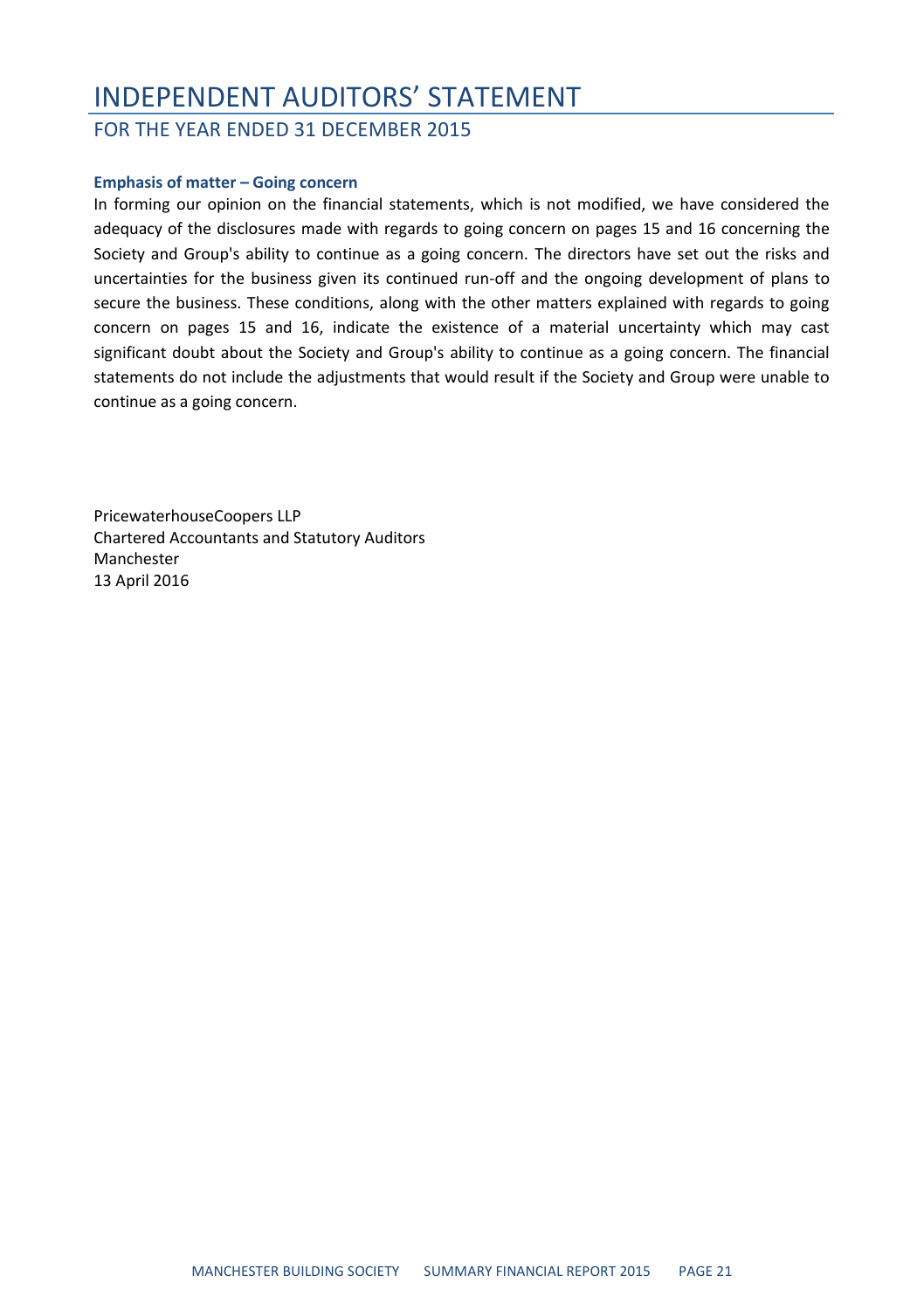### INDEPENDENT AUDITORS' STATEMENT

FOR THE YEAR ENDED 31 DECEMBER 2015

#### **Emphasis of matter – Going concern**

In forming our opinion on the financial statements, which is not modified, we have considered the adequacy of the disclosures made with regards to going concern on pages 15 and 16 concerning the Society and Group's ability to continue as a going concern. The directors have set out the risks and uncertainties for the business given its continued run-off and the ongoing development of plans to secure the business. These conditions, along with the other matters explained with regards to going concern on pages 15 and 16, indicate the existence of a material uncertainty which may cast significant doubt about the Society and Group's ability to continue as a going concern. The financial statements do not include the adjustments that would result if the Society and Group were unable to continue as a going concern.

PricewaterhouseCoopers LLP Chartered Accountants and Statutory Auditors Manchester 13 April 2016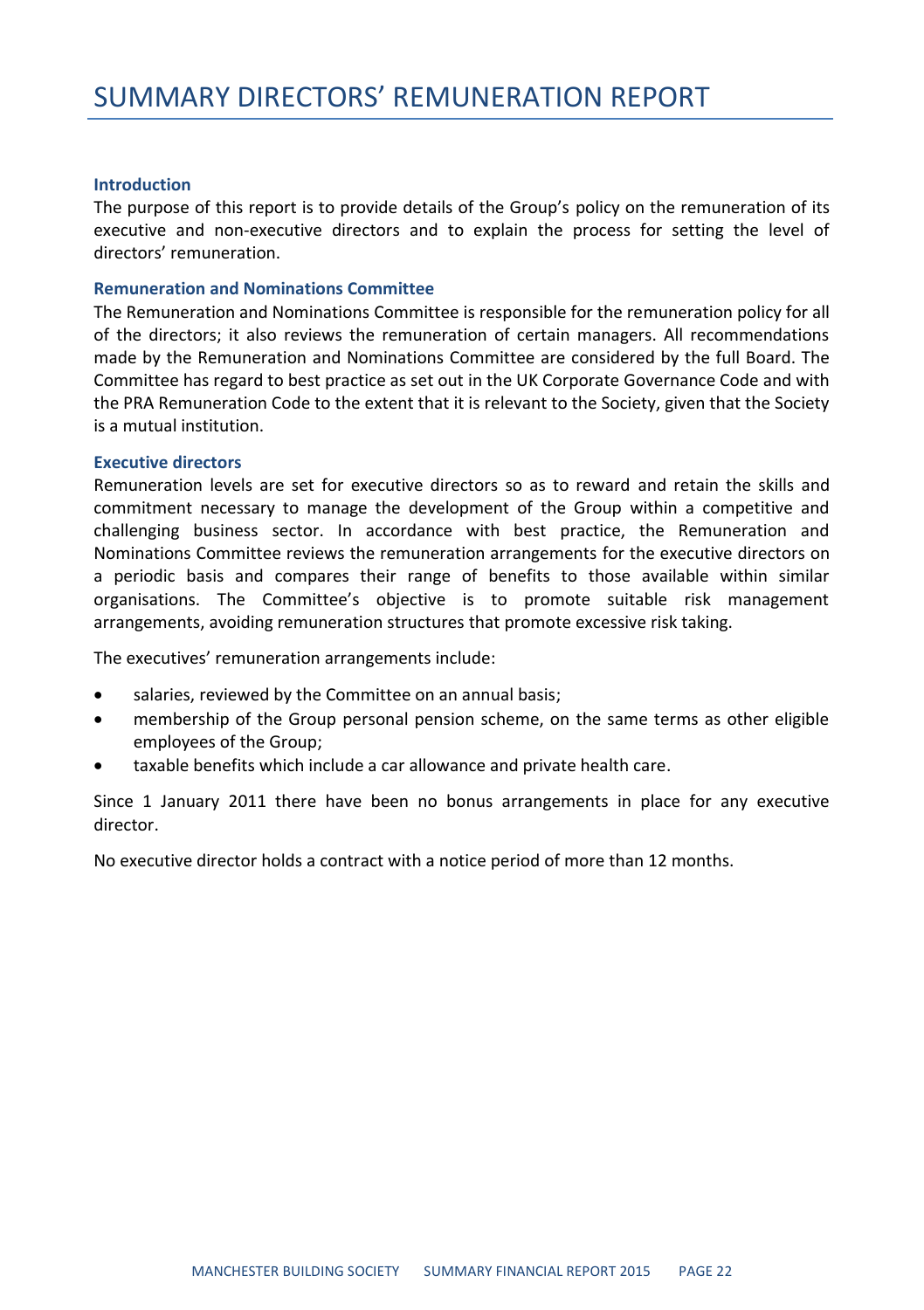#### **Introduction**

The purpose of this report is to provide details of the Group's policy on the remuneration of its executive and non-executive directors and to explain the process for setting the level of directors' remuneration.

#### **Remuneration and Nominations Committee**

The Remuneration and Nominations Committee is responsible for the remuneration policy for all of the directors; it also reviews the remuneration of certain managers. All recommendations made by the Remuneration and Nominations Committee are considered by the full Board. The Committee has regard to best practice as set out in the UK Corporate Governance Code and with the PRA Remuneration Code to the extent that it is relevant to the Society, given that the Society is a mutual institution.

#### **Executive directors**

Remuneration levels are set for executive directors so as to reward and retain the skills and commitment necessary to manage the development of the Group within a competitive and challenging business sector. In accordance with best practice, the Remuneration and Nominations Committee reviews the remuneration arrangements for the executive directors on a periodic basis and compares their range of benefits to those available within similar organisations. The Committee's objective is to promote suitable risk management arrangements, avoiding remuneration structures that promote excessive risk taking.

The executives' remuneration arrangements include:

- salaries, reviewed by the Committee on an annual basis;
- membership of the Group personal pension scheme, on the same terms as other eligible employees of the Group;
- taxable benefits which include a car allowance and private health care.

Since 1 January 2011 there have been no bonus arrangements in place for any executive director.

No executive director holds a contract with a notice period of more than 12 months.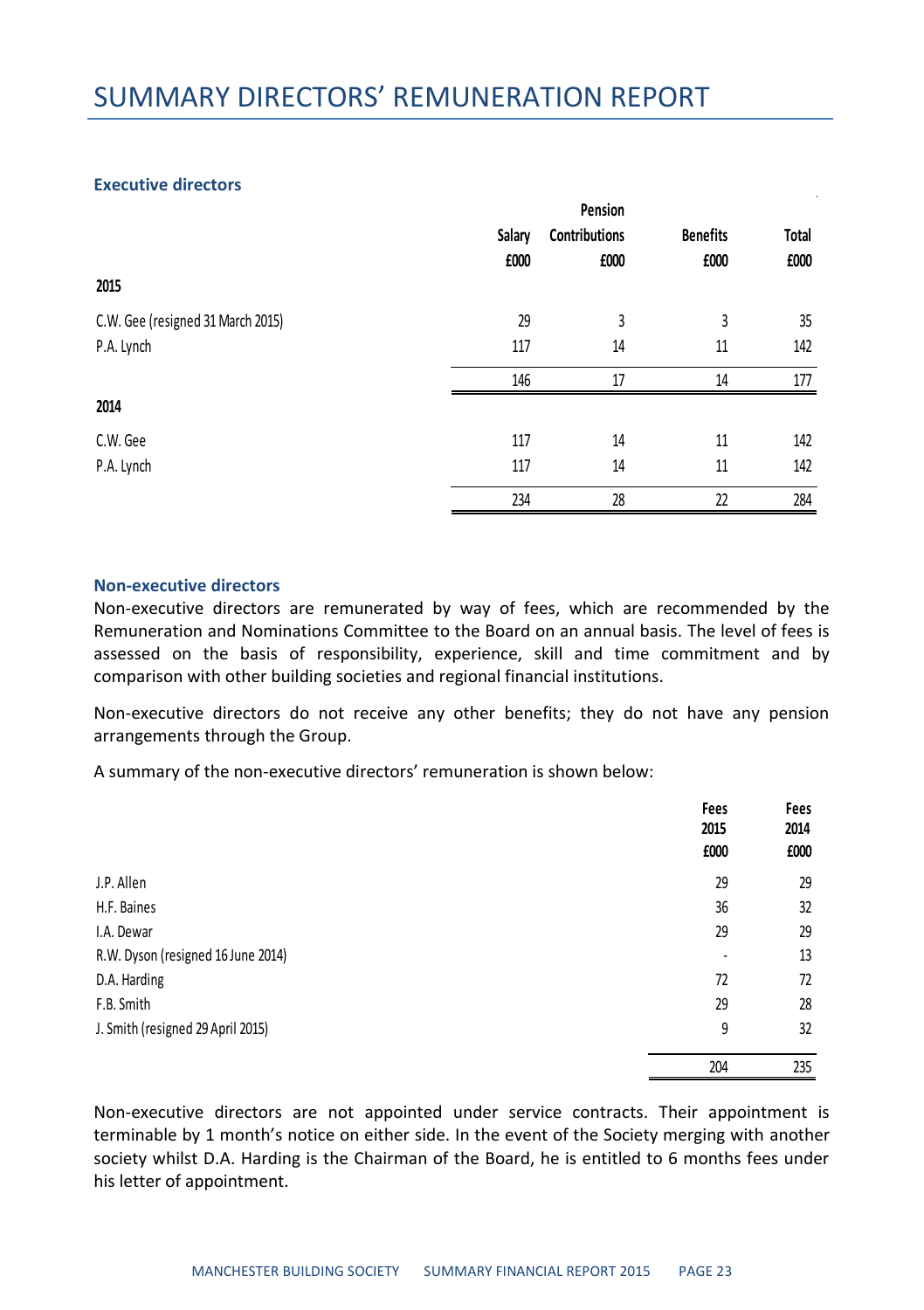#### **Executive directors**

|                                   |        | Pension       |                 |              |
|-----------------------------------|--------|---------------|-----------------|--------------|
|                                   | Salary | Contributions | <b>Benefits</b> | <b>Total</b> |
|                                   | £000   | £000          | £000            | £000         |
| 2015                              |        |               |                 |              |
| C.W. Gee (resigned 31 March 2015) | 29     | 3             | 3               | 35           |
| P.A. Lynch                        | 117    | 14            | 11              | 142          |
|                                   | 146    | 17            | 14              | 177          |
| 2014                              |        |               |                 |              |
| C.W. Gee                          | 117    | 14            | 11              | 142          |
| P.A. Lynch                        | 117    | 14            | 11              | 142          |
|                                   | 234    | 28            | 22              | 284          |

#### **Non-executive directors**

Non-executive directors are remunerated by way of fees, which are recommended by the Remuneration and Nominations Committee to the Board on an annual basis. The level of fees is assessed on the basis of responsibility, experience, skill and time commitment and by comparison with other building societies and regional financial institutions.

Non-executive directors do not receive any other benefits; they do not have any pension arrangements through the Group.

A summary of the non-executive directors' remuneration is shown below:

|                                    | Fees<br>2015<br>£000     | Fees<br>2014<br>£000 |
|------------------------------------|--------------------------|----------------------|
| J.P. Allen                         | 29                       | 29                   |
| H.F. Baines                        | 36                       | 32                   |
| I.A. Dewar                         | 29                       | 29                   |
| R.W. Dyson (resigned 16 June 2014) | $\overline{\phantom{a}}$ | 13                   |
| D.A. Harding                       | 72                       | 72                   |
| F.B. Smith                         | 29                       | 28                   |
| J. Smith (resigned 29 April 2015)  | 9                        | 32                   |
|                                    | 204                      | 235                  |

Non-executive directors are not appointed under service contracts. Their appointment is terminable by 1 month's notice on either side. In the event of the Society merging with another society whilst D.A. Harding is the Chairman of the Board, he is entitled to 6 months fees under his letter of appointment.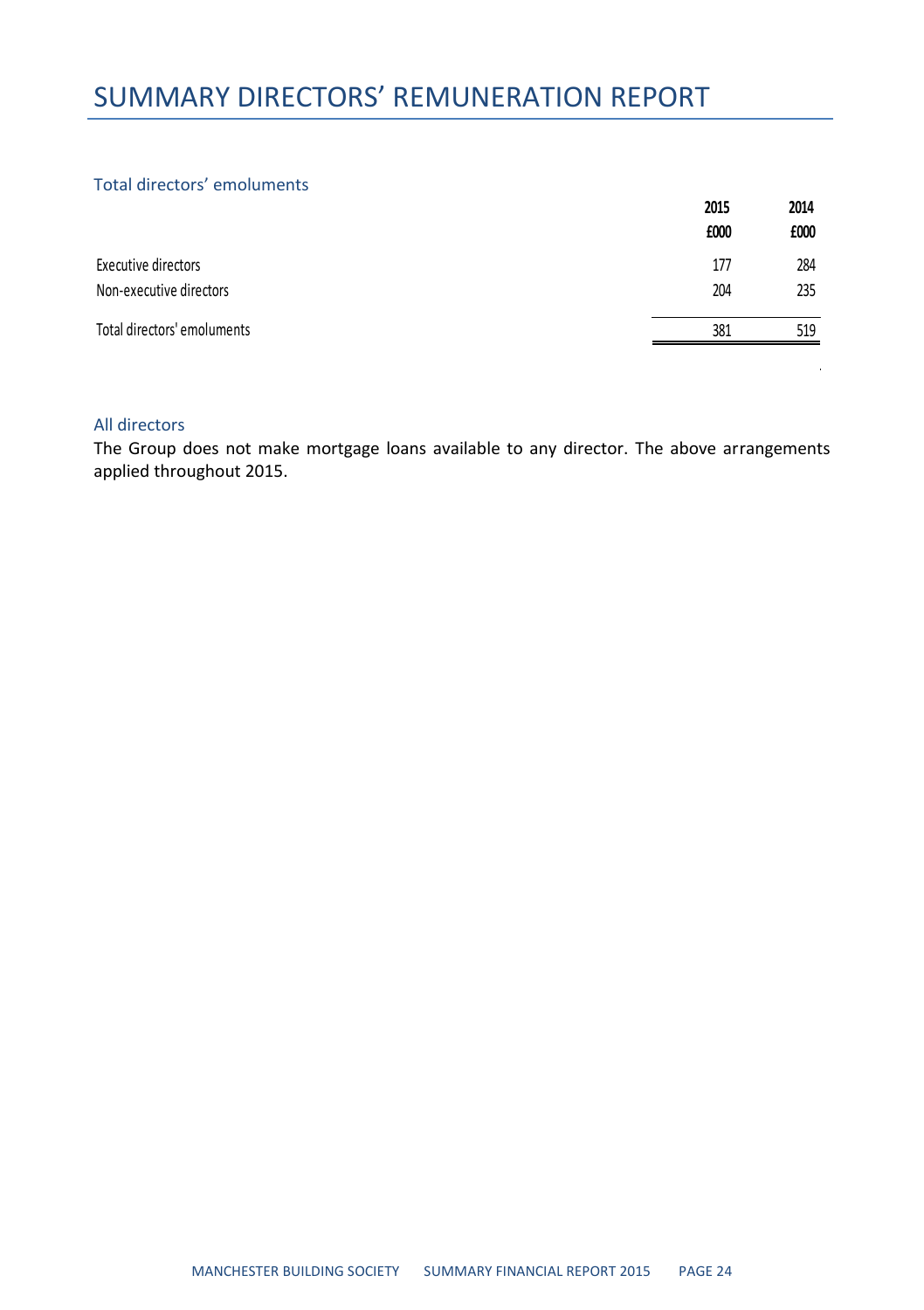### SUMMARY DIRECTORS' REMUNERATION REPORT

#### Total directors' emoluments

|                             | 2015<br>£000 | 2014<br>£000 |
|-----------------------------|--------------|--------------|
|                             |              |              |
| Executive directors         | 177          | 284          |
| Non-executive directors     | 204          | 235          |
| Total directors' emoluments | 381          | 519          |

#### All directors

The Group does not make mortgage loans available to any director. The above arrangements applied throughout 2015.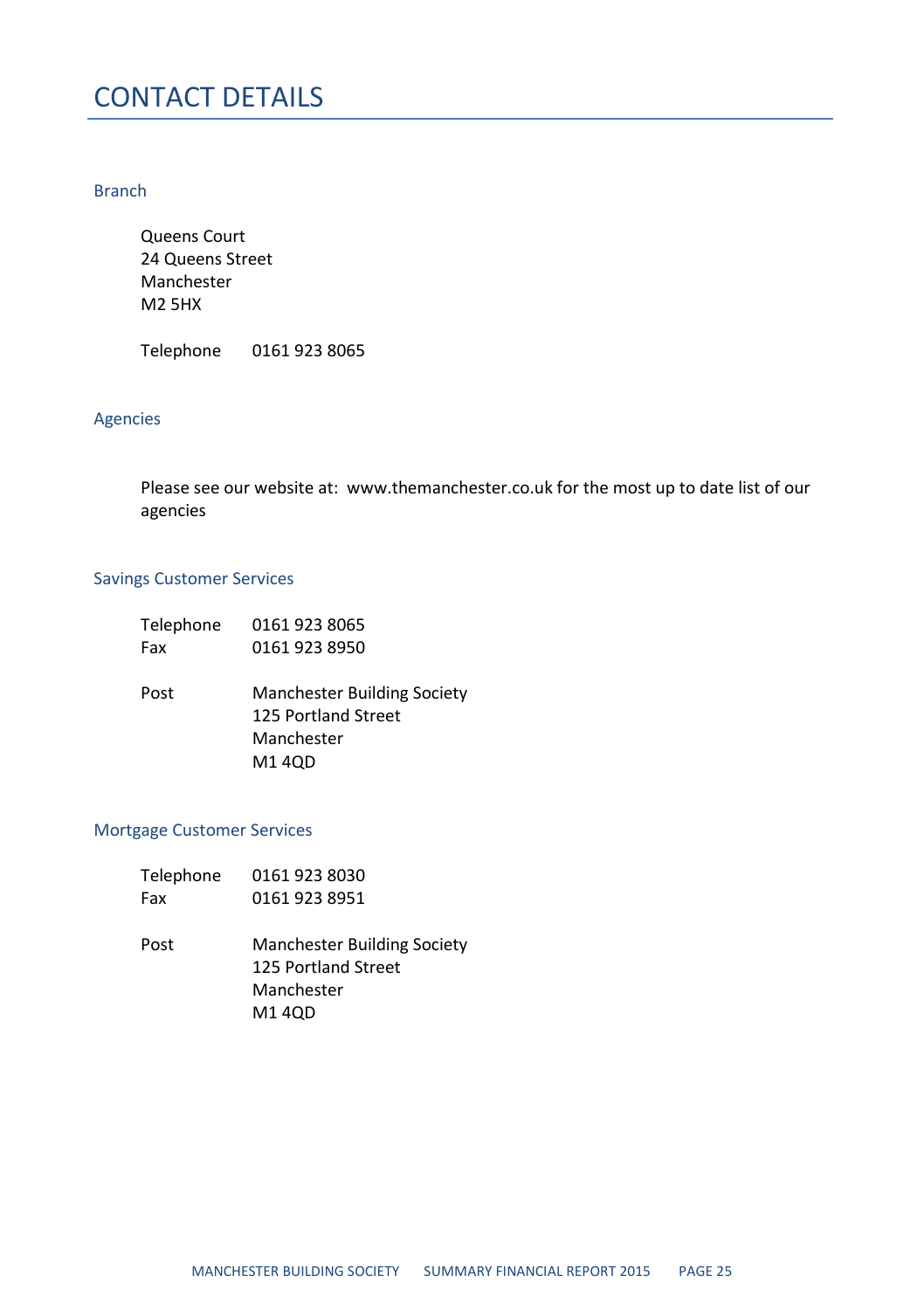### CONTACT DETAILS

#### Branch

Queens Court 24 Queens Street Manchester M2 5HX

Telephone 0161 923 8065

#### Agencies

Please see our website at: www.themanchester.co.uk for the most up to date list of our agencies

#### Savings Customer Services

| Telephone | 0161 923 8065               |
|-----------|-----------------------------|
| Fax       | 0161 923 8950               |
|           |                             |
| Post      | Manchester Building Society |
|           | 125 Portland Street         |
|           | Manchester                  |
|           | M14OD                       |
|           |                             |

#### Mortgage Customer Services

| Telephone | 0161 923 8030                      |
|-----------|------------------------------------|
| Fax       | 0161 923 8951                      |
|           |                                    |
| Post      | <b>Manchester Building Society</b> |
|           | 125 Portland Street                |
|           | Manchester                         |
|           | M1 4QD                             |
|           |                                    |